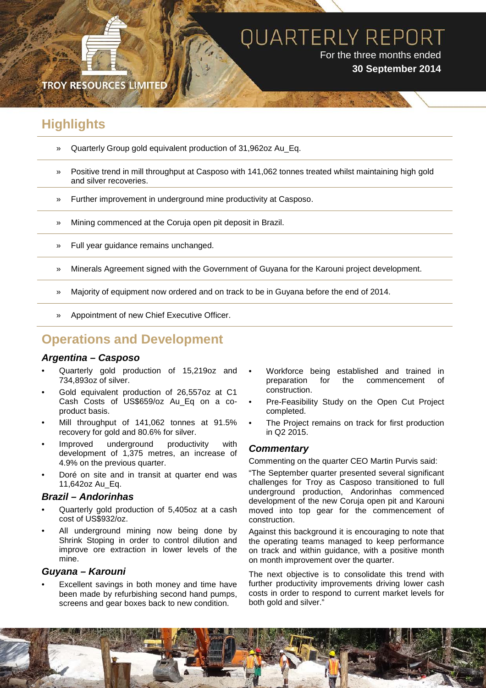## QUARTERLY REPORT For the three months ended **30 September 2014**

## **TROY RESOURCES LIMITE**

# **Highlights**

- » Quarterly Group gold equivalent production of 31,962oz Au\_Eq.
- » Positive trend in mill throughput at Casposo with 141,062 tonnes treated whilst maintaining high gold and silver recoveries.
- » Further improvement in underground mine productivity at Casposo.
- » Mining commenced at the Coruja open pit deposit in Brazil.
- » Full year guidance remains unchanged.
- » Minerals Agreement signed with the Government of Guyana for the Karouni project development.
- » Majority of equipment now ordered and on track to be in Guyana before the end of 2014.
- » Appointment of new Chief Executive Officer.

# **Operations and Development**

#### *Argentina – Casposo*

- Quarterly gold production of 15,219oz and 734,893oz of silver.
- Gold equivalent production of 26,557oz at C1 Cash Costs of US\$659/oz Au\_Eq on a coproduct basis.
- Mill throughput of 141,062 tonnes at 91.5% recovery for gold and 80.6% for silver.
- Improved underground productivity with development of 1,375 metres, an increase of 4.9% on the previous quarter.
- Doré on site and in transit at quarter end was 11,642oz Au\_Eq.

#### *Brazil – Andorinhas*

- Quarterly gold production of 5,405oz at a cash cost of US\$932/oz.
- All underground mining now being done by Shrink Stoping in order to control dilution and improve ore extraction in lower levels of the mine.

#### *Guyana – Karouni*

Excellent savings in both money and time have been made by refurbishing second hand pumps, screens and gear boxes back to new condition.

- Workforce being established and trained in<br>preparation for the commencement of commencement of construction.
- Pre-Feasibility Study on the Open Cut Project completed.
- The Project remains on track for first production in Q2 2015.

#### *Commentary*

Commenting on the quarter CEO Martin Purvis said:

"The September quarter presented several significant challenges for Troy as Casposo transitioned to full underground production, Andorinhas commenced development of the new Coruja open pit and Karouni moved into top gear for the commencement of construction.

Against this background it is encouraging to note that the operating teams managed to keep performance on track and within guidance, with a positive month on month improvement over the quarter.

The next objective is to consolidate this trend with further productivity improvements driving lower cash costs in order to respond to current market levels for both gold and silver."

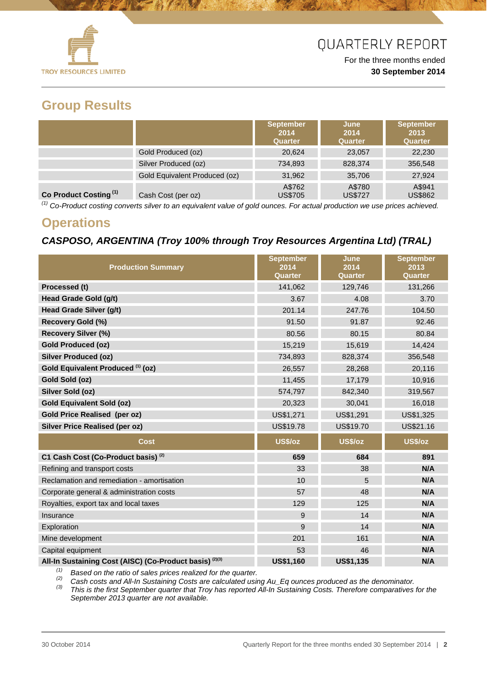

For the three months ended **30 September 2014**

## **Group Results**

|                                   |                               | <b>September</b><br>2014<br><b>Quarter</b> | June<br>2014<br>Quarter  | <b>September</b><br>2013<br><b>Quarter</b> |
|-----------------------------------|-------------------------------|--------------------------------------------|--------------------------|--------------------------------------------|
|                                   | Gold Produced (oz)            | 20,624                                     | 23,057                   | 22,230                                     |
|                                   | Silver Produced (oz)          | 734.893                                    | 828,374                  | 356,548                                    |
|                                   | Gold Equivalent Produced (oz) | 31,962                                     | 35,706                   | 27,924                                     |
| Co Product Costing <sup>(1)</sup> | Cash Cost (per oz)            | A\$762<br><b>US\$705</b>                   | A\$780<br><b>US\$727</b> | A\$941<br><b>US\$862</b>                   |

*(1) Co-Product costing converts silver to an equivalent value of gold ounces. For actual production we use prices achieved.*

## **Operations**

## *CASPOSO, ARGENTINA (Troy 100% through Troy Resources Argentina Ltd) (TRAL)*

| <b>Production Summary</b>                                          | <b>September</b><br>2014<br>Quarter | June<br>2014<br>Quarter | <b>September</b><br>2013<br>Quarter |
|--------------------------------------------------------------------|-------------------------------------|-------------------------|-------------------------------------|
| Processed (t)                                                      | 141,062                             | 129,746                 | 131,266                             |
| Head Grade Gold (g/t)                                              | 3.67                                | 4.08                    | 3.70                                |
| Head Grade Silver (g/t)                                            | 201.14                              | 247.76                  | 104.50                              |
| <b>Recovery Gold (%)</b>                                           | 91.50                               | 91.87                   | 92.46                               |
| <b>Recovery Silver (%)</b>                                         | 80.56                               | 80.15                   | 80.84                               |
| <b>Gold Produced (oz)</b>                                          | 15,219                              | 15,619                  | 14,424                              |
| <b>Silver Produced (oz)</b>                                        | 734,893                             | 828,374                 | 356,548                             |
| Gold Equivalent Produced (1) (oz)                                  | 26,557                              | 28,268                  | 20,116                              |
| Gold Sold (oz)                                                     | 11,455                              | 17,179                  | 10.916                              |
| Silver Sold (oz)                                                   | 574,797                             | 842,340                 | 319,567                             |
| <b>Gold Equivalent Sold (oz)</b>                                   | 20,323                              | 30,041                  | 16,018                              |
| <b>Gold Price Realised (per oz)</b>                                | US\$1,271                           | US\$1,291               | US\$1,325                           |
| <b>Silver Price Realised (per oz)</b>                              | US\$19.78                           | US\$19.70               | US\$21.16                           |
| <b>Cost</b>                                                        | US\$/oz                             | US\$/oz                 | US\$/oz                             |
| C1 Cash Cost (Co-Product basis) <sup>(2)</sup>                     | 659                                 | 684                     | 891                                 |
| Refining and transport costs                                       | 33                                  | 38                      | N/A                                 |
| Reclamation and remediation - amortisation                         | 10                                  | 5                       | N/A                                 |
| Corporate general & administration costs                           | 57                                  | 48                      | N/A                                 |
| Royalties, export tax and local taxes                              | 129                                 | 125                     | N/A                                 |
| Insurance                                                          | 9                                   | 14                      | N/A                                 |
| Exploration                                                        | 9                                   | 14                      | N/A                                 |
| Mine development                                                   | 201                                 | 161                     | N/A                                 |
| Capital equipment                                                  | 53                                  | 46                      | N/A                                 |
| All-In Sustaining Cost (AISC) (Co-Product basis) <sup>(2)(3)</sup> | US\$1,160                           | <b>US\$1,135</b>        | N/A                                 |

<sup>(1)</sup> Based on the ratio of sales prices realized for the quarter.<br><sup>(2)</sup> Cash costs and All-In Sustaining Costs are calculated using Au\_Eq ounces produced as the denominator.<br><sup>(3)</sup> This is the first September quarter that

*September 2013 quarter are not available.*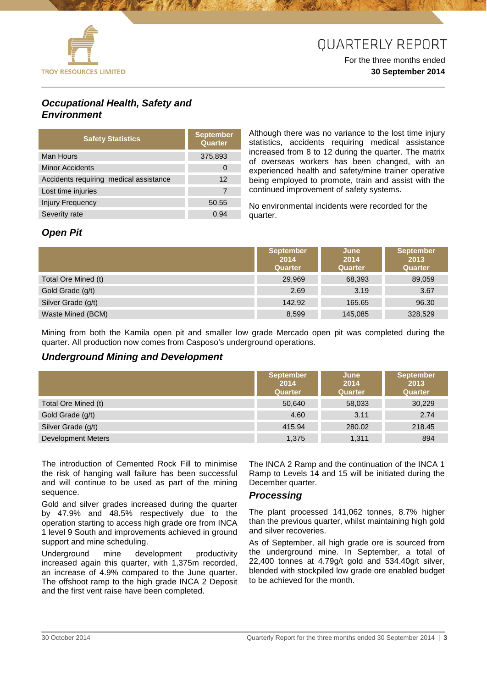

For the three months ended **30 September 2014**

### *Occupational Health, Safety and Environment*

| <b>Safety Statistics</b>               | <b>September</b><br>Quarter |
|----------------------------------------|-----------------------------|
| Man Hours                              | 375,893                     |
| <b>Minor Accidents</b>                 |                             |
| Accidents requiring medical assistance | $12 \,$                     |
| Lost time injuries                     | 7                           |
| <b>Injury Frequency</b>                | 50.55                       |
| Severity rate                          | 0.94                        |

Although there was no variance to the lost time injury statistics, accidents requiring medical assistance increased from 8 to 12 during the quarter. The matrix of overseas workers has been changed, with an experienced health and safety/mine trainer operative being employed to promote, train and assist with the continued improvement of safety systems.

No environmental incidents were recorded for the quarter.

### *Open Pit*

|                     | <b>September</b><br>2014<br>Quarter | June<br>2014<br>Quarter | <b>September</b><br>2013<br>Quarter |
|---------------------|-------------------------------------|-------------------------|-------------------------------------|
| Total Ore Mined (t) | 29,969                              | 68,393                  | 89,059                              |
| Gold Grade (g/t)    | 2.69                                | 3.19                    | 3.67                                |
| Silver Grade (g/t)  | 142.92                              | 165.65                  | 96.30                               |
| Waste Mined (BCM)   | 8,599                               | 145,085                 | 328,529                             |

Mining from both the Kamila open pit and smaller low grade Mercado open pit was completed during the quarter. All production now comes from Casposo's underground operations.

#### *Underground Mining and Development*

|                     | <b>September</b><br>2014<br>Quarter | June<br>2014<br>Quarter | <b>September</b><br>2013<br>Quarter |
|---------------------|-------------------------------------|-------------------------|-------------------------------------|
| Total Ore Mined (t) | 50.640                              | 58,033                  | 30,229                              |
| Gold Grade (g/t)    | 4.60                                | 3.11                    | 2.74                                |
| Silver Grade (g/t)  | 415.94                              | 280.02                  | 218.45                              |
| Development Meters  | 1,375                               | 1,311                   | 894                                 |

The introduction of Cemented Rock Fill to minimise the risk of hanging wall failure has been successful and will continue to be used as part of the mining sequence.

Gold and silver grades increased during the quarter by 47.9% and 48.5% respectively due to the operation starting to access high grade ore from INCA 1 level 9 South and improvements achieved in ground support and mine scheduling.

Underground mine development productivity increased again this quarter, with 1,375m recorded, an increase of 4.9% compared to the June quarter. The offshoot ramp to the high grade INCA 2 Deposit and the first vent raise have been completed.

The INCA 2 Ramp and the continuation of the INCA 1 Ramp to Levels 14 and 15 will be initiated during the December quarter.

#### *Processing*

The plant processed 141,062 tonnes, 8.7% higher than the previous quarter, whilst maintaining high gold and silver recoveries.

As of September, all high grade ore is sourced from the underground mine. In September, a total of 22,400 tonnes at 4.79g/t gold and 534.40g/t silver, blended with stockpiled low grade ore enabled budget to be achieved for the month.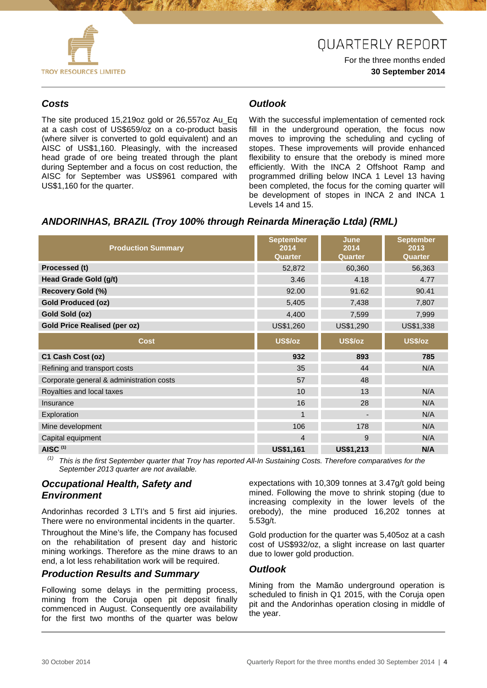

#### For the three months ended **30 September 2014**

## *Costs*

The site produced 15,219oz gold or 26,557oz Au\_Eq at a cash cost of US\$659/oz on a co-product basis (where silver is converted to gold equivalent) and an AISC of US\$1,160. Pleasingly, with the increased head grade of ore being treated through the plant during September and a focus on cost reduction, the AISC for September was US\$961 compared with US\$1,160 for the quarter.

### *Outlook*

With the successful implementation of cemented rock fill in the underground operation, the focus now moves to improving the scheduling and cycling of stopes. These improvements will provide enhanced flexibility to ensure that the orebody is mined more efficiently. With the INCA 2 Offshoot Ramp and programmed drilling below INCA 1 Level 13 having been completed, the focus for the coming quarter will be development of stopes in INCA 2 and INCA 1 Levels 14 and 15.

### *ANDORINHAS, BRAZIL (Troy 100% through Reinarda Mineração Ltda) (RML)*

| <b>Production Summary</b>                | <b>September</b><br>2014<br><b>Quarter</b> | June<br>2014<br>Quarter | <b>September</b><br>2013<br>Quarter |
|------------------------------------------|--------------------------------------------|-------------------------|-------------------------------------|
| Processed (t)                            | 52,872                                     | 60,360                  | 56,363                              |
| Head Grade Gold (g/t)                    | 3.46                                       | 4.18                    | 4.77                                |
| Recovery Gold (%)                        | 92.00                                      | 91.62                   | 90.41                               |
| <b>Gold Produced (oz)</b>                | 5,405                                      | 7,438                   | 7,807                               |
| Gold Sold (oz)                           | 4,400                                      | 7,599                   | 7,999                               |
| <b>Gold Price Realised (per oz)</b>      | US\$1,260                                  | US\$1,290               | US\$1,338                           |
| <b>Cost</b>                              | US\$/oz                                    | US\$/oz                 | <b>US\$/oz</b>                      |
|                                          |                                            |                         |                                     |
| C1 Cash Cost (oz)                        | 932                                        | 893                     | 785                                 |
| Refining and transport costs             | 35                                         | 44                      | N/A                                 |
| Corporate general & administration costs | 57                                         | 48                      |                                     |
| Royalties and local taxes                | 10                                         | 13                      | N/A                                 |
| Insurance                                | 16                                         | 28                      | N/A                                 |
| Exploration                              | 1                                          |                         | N/A                                 |
| Mine development                         | 106                                        | 178                     | N/A                                 |
| Capital equipment                        | 4                                          | 9                       | N/A                                 |

*(1) This is the first September quarter that Troy has reported All-In Sustaining Costs. Therefore comparatives for the September 2013 quarter are not available.*

### *Occupational Health, Safety and Environment*

Andorinhas recorded 3 LTI's and 5 first aid injuries. There were no environmental incidents in the quarter.

Throughout the Mine's life, the Company has focused on the rehabilitation of present day and historic mining workings. Therefore as the mine draws to an end, a lot less rehabilitation work will be required.

#### *Production Results and Summary*

Following some delays in the permitting process, mining from the Coruja open pit deposit finally commenced in August. Consequently ore availability for the first two months of the quarter was below expectations with 10,309 tonnes at 3.47g/t gold being mined. Following the move to shrink stoping (due to increasing complexity in the lower levels of the orebody), the mine produced 16,202 tonnes at 5.53g/t.

Gold production for the quarter was 5,405oz at a cash cost of US\$932/oz, a slight increase on last quarter due to lower gold production.

### *Outlook*

Mining from the Mamão underground operation is scheduled to finish in Q1 2015, with the Coruja open pit and the Andorinhas operation closing in middle of the year.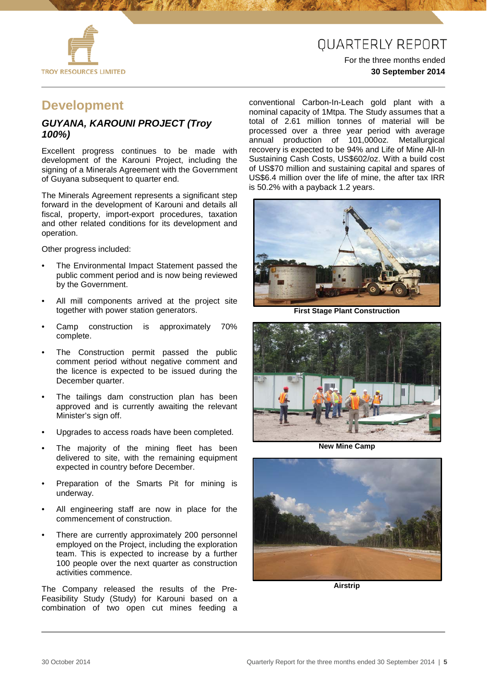



#### For the three months ended **30 September 2014**

## **Development**

#### *GUYANA, KAROUNI PROJECT (Troy 100%)*

Excellent progress continues to be made with development of the Karouni Project, including the signing of a Minerals Agreement with the Government of Guyana subsequent to quarter end.

The Minerals Agreement represents a significant step forward in the development of Karouni and details all fiscal, property, import-export procedures, taxation and other related conditions for its development and operation.

Other progress included:

- The Environmental Impact Statement passed the public comment period and is now being reviewed by the Government.
- All mill components arrived at the project site together with power station generators.
- Camp construction is approximately 70% complete.
- The Construction permit passed the public comment period without negative comment and the licence is expected to be issued during the December quarter.
- The tailings dam construction plan has been approved and is currently awaiting the relevant Minister's sign off.
- Upgrades to access roads have been completed.
- The majority of the mining fleet has been delivered to site, with the remaining equipment expected in country before December.
- Preparation of the Smarts Pit for mining is underway.
- All engineering staff are now in place for the commencement of construction.
- There are currently approximately 200 personnel employed on the Project, including the exploration team. This is expected to increase by a further 100 people over the next quarter as construction activities commence.

The Company released the results of the Pre-Feasibility Study (Study) for Karouni based on a combination of two open cut mines feeding a conventional Carbon-In-Leach gold plant with a nominal capacity of 1Mtpa. The Study assumes that a total of 2.61 million tonnes of material will be processed over a three year period with average annual production of 101,000oz. Metallurgical recovery is expected to be 94% and Life of Mine All-In Sustaining Cash Costs, US\$602/oz. With a build cost of US\$70 million and sustaining capital and spares of US\$6.4 million over the life of mine, the after tax IRR is 50.2% with a payback 1.2 years.



**First Stage Plant Construction**



**New Mine Camp**



**Airstrip**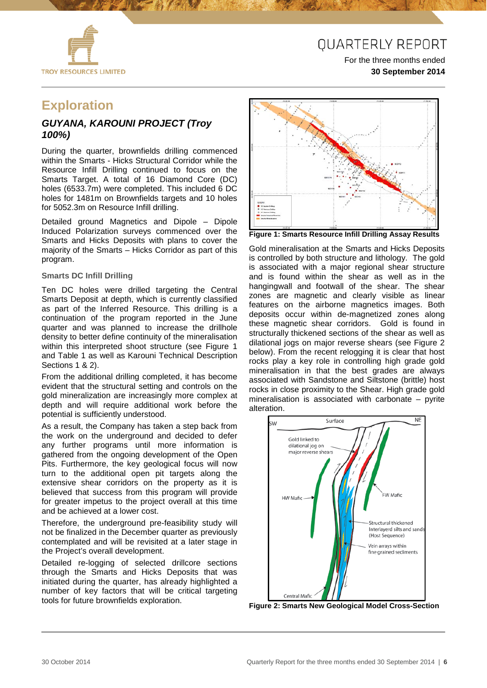

For the three months ended **30 September 2014**

## **Exploration**

### *GUYANA, KAROUNI PROJECT (Troy 100%)*

During the quarter, brownfields drilling commenced within the Smarts - Hicks Structural Corridor while the Resource Infill Drilling continued to focus on the Smarts Target. A total of 16 Diamond Core (DC) holes (6533.7m) were completed. This included 6 DC holes for 1481m on Brownfields targets and 10 holes for 5052.3m on Resource Infill drilling.

Detailed ground Magnetics and Dipole – Dipole Induced Polarization surveys commenced over the Smarts and Hicks Deposits with plans to cover the majority of the Smarts – Hicks Corridor as part of this program.

#### **Smarts DC Infill Drilling**

Ten DC holes were drilled targeting the Central Smarts Deposit at depth, which is currently classified as part of the Inferred Resource. This drilling is a continuation of the program reported in the June quarter and was planned to increase the drillhole density to better define continuity of the mineralisation within this interpreted shoot structure (see Figure 1 and Table 1 as well as Karouni Technical Description Sections 1 & 2).

From the additional drilling completed, it has become evident that the structural setting and controls on the gold mineralization are increasingly more complex at depth and will require additional work before the potential is sufficiently understood.

As a result, the Company has taken a step back from the work on the underground and decided to defer any further programs until more information is gathered from the ongoing development of the Open Pits. Furthermore, the key geological focus will now turn to the additional open pit targets along the extensive shear corridors on the property as it is believed that success from this program will provide for greater impetus to the project overall at this time and be achieved at a lower cost.

Therefore, the underground pre-feasibility study will not be finalized in the December quarter as previously contemplated and will be revisited at a later stage in the Project's overall development.

Detailed re-logging of selected drillcore sections through the Smarts and Hicks Deposits that was initiated during the quarter, has already highlighted a number of key factors that will be critical targeting tools for future brownfields exploration.



**Figure 1: Smarts Resource Infill Drilling Assay Results**

Gold mineralisation at the Smarts and Hicks Deposits is controlled by both structure and lithology. The gold is associated with a major regional shear structure and is found within the shear as well as in the hangingwall and footwall of the shear. The shear zones are magnetic and clearly visible as linear features on the airborne magnetics images. Both deposits occur within de-magnetized zones along these magnetic shear corridors. Gold is found in structurally thickened sections of the shear as well as dilational jogs on major reverse shears (see Figure 2 below). From the recent relogging it is clear that host rocks play a key role in controlling high grade gold mineralisation in that the best grades are always associated with Sandstone and Siltstone (brittle) host rocks in close proximity to the Shear. High grade gold mineralisation is associated with carbonate – pyrite alteration.



**Figure 2: Smarts New Geological Model Cross-Section**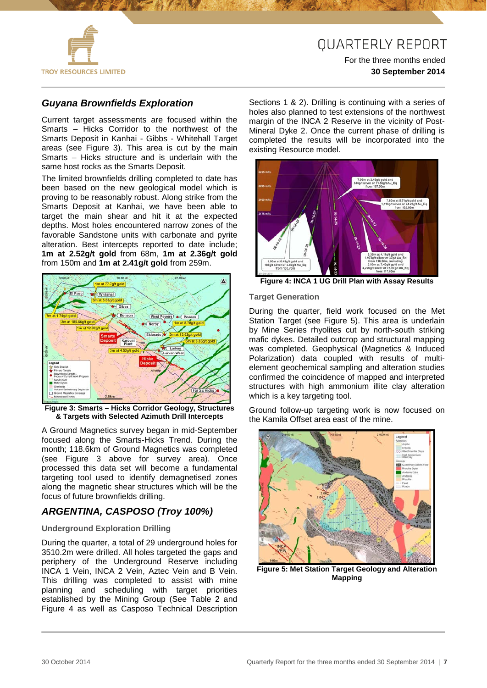

For the three months ended **30 September 2014**

### *Guyana Brownfields Exploration*

Current target assessments are focused within the Smarts – Hicks Corridor to the northwest of the Smarts Deposit in Kanhai - Gibbs - Whitehall Target areas (see Figure 3). This area is cut by the main Smarts – Hicks structure and is underlain with the same host rocks as the Smarts Deposit.

The limited brownfields drilling completed to date has been based on the new geological model which is proving to be reasonably robust. Along strike from the Smarts Deposit at Kanhai, we have been able to target the main shear and hit it at the expected depths. Most holes encountered narrow zones of the favorable Sandstone units with carbonate and pyrite alteration. Best intercepts reported to date include; **1m at 2.52g/t gold** from 68m, **1m at 2.36g/t gold**  from 150m and **1m at 2.41g/t gold** from 259m.



**Figure 3: Smarts – Hicks Corridor Geology, Structures & Targets with Selected Azimuth Drill Intercepts**

A Ground Magnetics survey began in mid-September focused along the Smarts-Hicks Trend. During the month; 118.6km of Ground Magnetics was completed (see Figure 3 above for survey area). Once processed this data set will become a fundamental targeting tool used to identify demagnetised zones along the magnetic shear structures which will be the focus of future brownfields drilling.

## *ARGENTINA, CASPOSO (Troy 100%)*

#### **Underground Exploration Drilling**

During the quarter, a total of 29 underground holes for 3510.2m were drilled. All holes targeted the gaps and periphery of the Underground Reserve including INCA 1 Vein, INCA 2 Vein, Aztec Vein and B Vein. This drilling was completed to assist with mine planning and scheduling with target priorities established by the Mining Group (See Table 2 and Figure 4 as well as Casposo Technical Description

Sections 1 & 2). Drilling is continuing with a series of holes also planned to test extensions of the northwest margin of the INCA 2 Reserve in the vicinity of Post-Mineral Dyke 2. Once the current phase of drilling is completed the results will be incorporated into the existing Resource model.



**Figure 4: INCA 1 UG Drill Plan with Assay Results**

#### **Target Generation**

During the quarter, field work focused on the Met Station Target (see Figure 5). This area is underlain by Mine Series rhyolites cut by north-south striking mafic dykes. Detailed outcrop and structural mapping was completed. Geophysical (Magnetics & Induced Polarization) data coupled with results of multielement geochemical sampling and alteration studies confirmed the coincidence of mapped and interpreted structures with high ammonium illite clay alteration which is a key targeting tool.

Ground follow-up targeting work is now focused on the Kamila Offset area east of the mine.



**Figure 5: Met Station Target Geology and Alteration Mapping**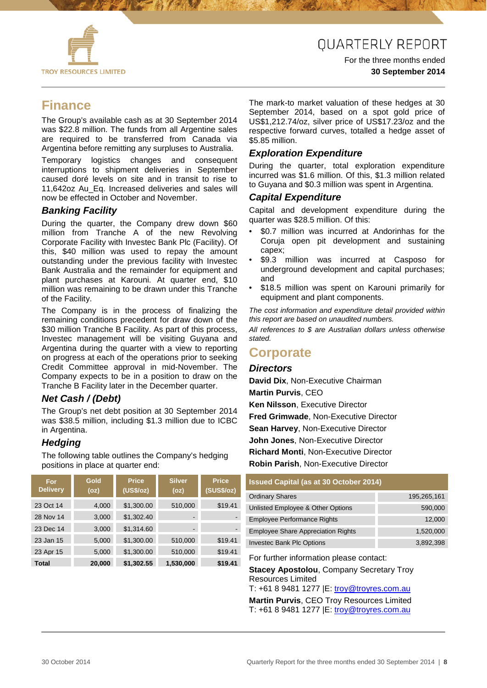

#### For the three months ended **30 September 2014**

## **Finance**

The Group's available cash as at 30 September 2014 was \$22.8 million. The funds from all Argentine sales are required to be transferred from Canada via Argentina before remitting any surpluses to Australia.

Temporary logistics changes and consequent interruptions to shipment deliveries in September caused doré levels on site and in transit to rise to 11,642oz Au\_Eq. Increased deliveries and sales will now be effected in October and November.

### *Banking Facility*

During the quarter, the Company drew down \$60 million from Tranche A of the new Revolving Corporate Facility with Investec Bank Plc (Facility). Of this, \$40 million was used to repay the amount outstanding under the previous facility with Investec Bank Australia and the remainder for equipment and plant purchases at Karouni. At quarter end, \$10 million was remaining to be drawn under this Tranche of the Facility.

The Company is in the process of finalizing the remaining conditions precedent for draw down of the \$30 million Tranche B Facility. As part of this process, Investec management will be visiting Guyana and Argentina during the quarter with a view to reporting on progress at each of the operations prior to seeking Credit Committee approval in mid-November. The Company expects to be in a position to draw on the Tranche B Facility later in the December quarter.

## *Net Cash / (Debt)*

The Group's net debt position at 30 September 2014 was \$38.5 million, including \$1.3 million due to ICBC in Argentina.

### *Hedging*

The following table outlines the Company's hedging positions in place at quarter end:

| For<br><b>Delivery</b> | Gold<br>(oz) | <b>Price</b><br>(US\$/oz) | <b>Silver</b><br>(oz)        | <b>Price</b><br>(SUS\$/oz)   |
|------------------------|--------------|---------------------------|------------------------------|------------------------------|
| 23 Oct 14              | 4.000        | \$1,300.00                | 510,000                      | \$19.41                      |
| 28 Nov 14              | 3.000        | \$1,302.40                | $\qquad \qquad \blacksquare$ |                              |
| 23 Dec 14              | 3,000        | \$1,314,60                | $\overline{\phantom{0}}$     | $\qquad \qquad \blacksquare$ |
| 23 Jan 15              | 5.000        | \$1.300.00                | 510.000                      | \$19.41                      |
| 23 Apr 15              | 5,000        | \$1,300.00                | 510,000                      | \$19.41                      |
| Total                  | 20,000       | \$1,302.55                | 1,530,000                    | \$19.41                      |

The mark-to market valuation of these hedges at 30 September 2014, based on a spot gold price of US\$1,212.74/oz, silver price of US\$17.23/oz and the respective forward curves, totalled a hedge asset of \$5.85 million.

## *Exploration Expenditure*

During the quarter, total exploration expenditure incurred was \$1.6 million. Of this, \$1.3 million related to Guyana and \$0.3 million was spent in Argentina.

### *Capital Expenditure*

Capital and development expenditure during the quarter was \$28.5 million. Of this:

- \$0.7 million was incurred at Andorinhas for the Coruja open pit development and sustaining capex;
- \$9.3 million was incurred at Casposo for underground development and capital purchases; and
- \$18.5 million was spent on Karouni primarily for equipment and plant components.

*The cost information and expenditure detail provided within this report are based on unaudited numbers.*

*All references to \$ are Australian dollars unless otherwise stated.*

## **Corporate**

#### *Directors*

**David Dix**, Non-Executive Chairman **Martin Purvis**, CEO **Ken Nilsson**, Executive Director **Fred Grimwade**, Non-Executive Director **Sean Harvey**, Non-Executive Director **John Jones**, Non-Executive Director **Richard Monti**, Non-Executive Director **Robin Parish**, Non-Executive Director

#### **Issued Capital (as at 30 October 2014)**

| <b>Ordinary Shares</b>                    | 195,265,161 |
|-------------------------------------------|-------------|
| Unlisted Employee & Other Options         | 590,000     |
| <b>Employee Performance Rights</b>        | 12,000      |
| <b>Employee Share Appreciation Rights</b> | 1,520,000   |
| <b>Investec Bank Plc Options</b>          | 3,892,398   |

For further information please contact:

**Stacey Apostolou, Company Secretary Troy** Resources Limited

T: +61 8 9481 1277 |E: [troy@troyres.com.au](mailto:troy@troyres.com.au)

**Martin Purvis**, CEO Troy Resources Limited T: +61 8 9481 1277 | E: [troy@troyres.com.au](mailto:troy@troyres.com.au)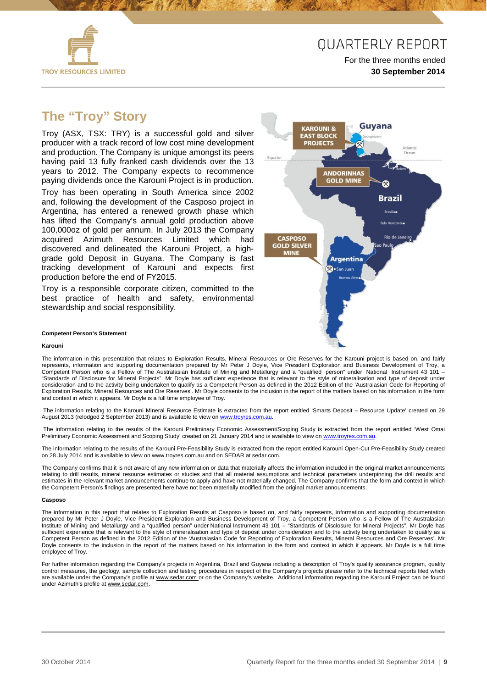

#### For the three months ended **30 September 2014**

# **The "Troy" Story**

Troy (ASX, TSX: TRY) is a successful gold and silver producer with a track record of low cost mine development and production. The Company is unique amongst its peers having paid 13 fully franked cash dividends over the 13 years to 2012. The Company expects to recommence paying dividends once the Karouni Project is in production.

Troy has been operating in South America since 2002 and, following the development of the Casposo project in Argentina, has entered a renewed growth phase which has lifted the Company's annual gold production above 100,000oz of gold per annum. In July 2013 the Company acquired Azimuth Resources Limited which had discovered and delineated the Karouni Project, a highgrade gold Deposit in Guyana. The Company is fast tracking development of Karouni and expects first production before the end of FY2015.

Troy is a responsible corporate citizen, committed to the best practice of health and safety, environmental stewardship and social responsibility.



#### **Competent Person's Statement**

#### **Karouni**

The information in this presentation that relates to Exploration Results, Mineral Resources or Ore Reserves for the Karouni project is based on, and fairly represents, information and supporting documentation prepared by Mr Peter J Doyle, Vice President Exploration and Business Development of Troy, a Competent Person who is a Fellow of The Australasian Institute of Mining and Metallurgy and a "qualified person" under National Instrument 43 101 – "Standards of Disclosure for Mineral Projects". Mr Doyle has sufficient experience that is relevant to the style of mineralisation and type of deposit under consideration and to the activity being undertaken to qualify as a Competent Person as defined in the 2012 Edition of the 'Australasian Code for Reporting of Exploration Results, Mineral Resources and Ore Reserves'. Mr Doyle consents to the inclusion in the report of the matters based on his information in the form and context in which it appears. Mr Doyle is a full time employee of Troy.

The information relating to the Karouni Mineral Resource Estimate is extracted from the report entitled 'Smarts Deposit – Resource Update' created on 29 August 2013 (relodged 2 September 2013) and is available to view on www.trovres.com.au.

The information relating to the results of the Karouni Preliminary Economic Assessment/Scoping Study is extracted from the report entitled 'West Omai Preliminary Economic Assessment and Scoping Study' created on 21 January 2014 and is available to view on [www.troyres.com.au.](http://www.troyres.com.au/)

The information relating to the results of the Karouni Pre-Feasibility Study is extracted from the report entitled Karouni Open-Cut Pre-Feasibility Study created on 28 July 2014 and is available to view on www.troyres.com.au and on SEDAR at sedar.com.

The Company confirms that it is not aware of any new information or data that materially affects the information included in the original market announcements relating to drill results, mineral resource estimates or studies and that all material assumptions and technical parameters underpinning the drill results and estimates in the relevant market announcements continue to apply and have not materially changed. The Company confirms that the form and context in which the Competent Person's findings are presented here have not been materially modified from the original market announcements.

#### **Casposo**

The information in this report that relates to Exploration Results at Casposo is based on, and fairly represents, information and supporting documentation prepared by Mr Peter J Doyle, Vice President Exploration and Business Development of Troy, a Competent Person who is a Fellow of The Australasian Institute of Mining and Metallurgy and a "qualified person" under National Instrument 43 101 – "Standards of Disclosure for Mineral Projects". Mr Doyle has sufficient experience that is relevant to the style of mineralisation and type of deposit under consideration and to the activity being undertaken to qualify as a Competent Person as defined in the 2012 Edition of the 'Australasian Code for Reporting of Exploration Results, Mineral Resources and Ore Reserves'. Mr Doyle consents to the inclusion in the report of the matters based on his information in the form and context in which it appears. Mr Doyle is a full time employee of Troy.

For further information regarding the Company's projects in Argentina, Brazil and Guyana including a description of Troy's quality assurance program, quality control measures, the geology, sample collection and testing procedures in respect of the Company's projects please refer to the technical reports filed which are available under the Company's profile at [www.sedar.com o](http://www.sedar.com/)r on the Company's website. Additional information regarding the Karouni Project can be found under Azimuth's profile at [www.sedar.com.](http://www.sedar.com/)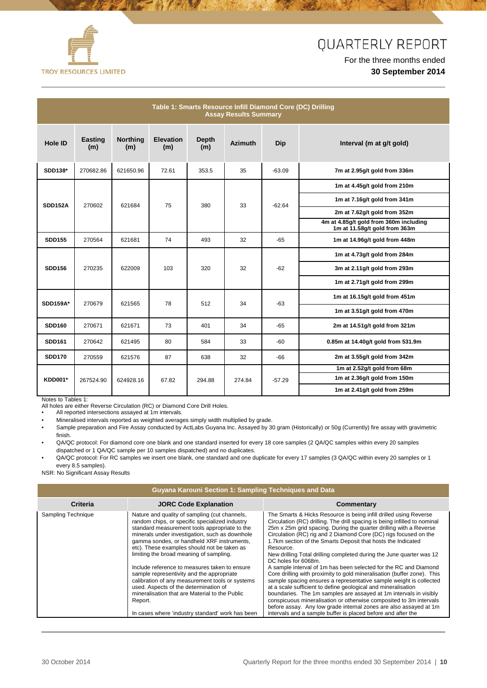



#### For the three months ended **30 September 2014**

| Table 1: Smarts Resource Infill Diamond Core (DC) Drilling<br><b>Assay Results Summary</b> |                       |                        |                         |                     |                |          |                                                                         |
|--------------------------------------------------------------------------------------------|-----------------------|------------------------|-------------------------|---------------------|----------------|----------|-------------------------------------------------------------------------|
| <b>Hole ID</b>                                                                             | <b>Easting</b><br>(m) | <b>Northing</b><br>(m) | <b>Elevation</b><br>(m) | <b>Depth</b><br>(m) | <b>Azimuth</b> | Dip      | Interval (m at g/t gold)                                                |
| SDD138*                                                                                    | 270682.86             | 621650.96              | 72.61                   | 353.5               | 35             | $-63.09$ | 7m at 2.95g/t gold from 336m                                            |
|                                                                                            |                       |                        |                         |                     |                |          | 1m at 4.45g/t gold from 210m                                            |
| <b>SDD152A</b>                                                                             | 270602                | 621684                 | 75                      | 380                 | 33             | $-62.64$ | 1m at 7.16g/t gold from 341m                                            |
|                                                                                            |                       |                        |                         |                     |                |          | 2m at 7.62g/t gold from 352m                                            |
|                                                                                            |                       |                        |                         |                     |                |          | 4m at 4.85g/t gold from 360m including<br>1m at 11.58g/t gold from 363m |
| <b>SDD155</b>                                                                              | 270564                | 621681                 | 74                      | 493                 | 32             | $-65$    | 1m at 14.96g/t gold from 448m                                           |
|                                                                                            |                       |                        |                         |                     |                |          | 1m at 4.73g/t gold from 284m                                            |
| <b>SDD156</b>                                                                              | 270235                | 622009                 | 103                     | 320                 | 32             | $-62$    | 3m at 2.11g/t gold from 293m                                            |
|                                                                                            |                       |                        |                         |                     |                |          | 1m at 2.71g/t gold from 299m                                            |
| <b>SDD159A*</b>                                                                            | 270679                | 621565                 | 78                      | 512                 | 34             |          | 1m at 16.15g/t gold from 451m                                           |
|                                                                                            |                       |                        |                         |                     |                | $-63$    | 1m at 3.51g/t gold from 470m                                            |
| <b>SDD160</b>                                                                              | 270671                | 621671                 | 73                      | 401                 | 34             | $-65$    | 2m at 14.51g/t gold from 321m                                           |
| SDD161                                                                                     | 270642                | 621495                 | 80                      | 584                 | 33             | $-60$    | 0.85m at 14.40g/t gold from 531.9m                                      |
| <b>SDD170</b>                                                                              | 270559                | 621576                 | 87                      | 638                 | 32             | $-66$    | 2m at 3.55g/t gold from 342m                                            |
|                                                                                            |                       |                        |                         |                     |                |          | 1m at 2.52g/t gold from 68m                                             |
| <b>KDD001*</b>                                                                             | 267524.90             | 624928.16              | 67.82                   | 294.88              | 274.84         | $-57.29$ | 1m at 2.36g/t gold from 150m                                            |
|                                                                                            |                       |                        |                         |                     |                |          | 1m at 2.41g/t gold from 259m                                            |

Notes to Tables 1:

All holes are either Reverse Circulation (RC) or Diamond Core Drill Holes.<br>
All reported intersections assayed at 1m intervals

All reported intersections assayed at 1m intervals.

• Mineralised intervals reported as weighted averages simply width multiplied by grade.

• Sample preparation and Fire Assay conducted by ActLabs Guyana Inc. Assayed by 30 gram (Historically) or 50g (Currently) fire assay with gravimetric finish.

• QA/QC protocol: For diamond core one blank and one standard inserted for every 18 core samples (2 QA/QC samples within every 20 samples dispatched or 1 QA/QC sample per 10 samples dispatched) and no duplicates.

• QA/QC protocol: For RC samples we insert one blank, one standard and one duplicate for every 17 samples (3 QA/QC within every 20 samples or 1 every 8.5 samples).

NSR: No Significant Assay Results

#### **Guyana Karouni Section 1: Sampling Techniques and Data**

| Criteria           | <b>JORC Code Explanation</b>                                                                                                                                                                                                                                                                                                               | Commentary                                                                                                                                                                                                                                                                                                                                                                                                                                                                                                                                                                                |
|--------------------|--------------------------------------------------------------------------------------------------------------------------------------------------------------------------------------------------------------------------------------------------------------------------------------------------------------------------------------------|-------------------------------------------------------------------------------------------------------------------------------------------------------------------------------------------------------------------------------------------------------------------------------------------------------------------------------------------------------------------------------------------------------------------------------------------------------------------------------------------------------------------------------------------------------------------------------------------|
| Sampling Technique | Nature and quality of sampling (cut channels,<br>random chips, or specific specialized industry<br>standard measurement tools appropriate to the<br>minerals under investigation, such as downhole<br>gamma sondes, or handheld XRF instruments,<br>etc). These examples should not be taken as<br>limiting the broad meaning of sampling. | The Smarts & Hicks Resource is being infill drilled using Reverse<br>Circulation (RC) drilling. The drill spacing is being infilled to nominal<br>25m x 25m grid spacing. During the quarter drilling with a Reverse<br>Circulation (RC) rig and 2 Diamond Core (DC) rigs focused on the<br>1.7km section of the Smarts Deposit that hosts the Indicated<br>Resource.<br>New drilling Total drilling completed during the June quarter was 12                                                                                                                                             |
|                    | Include reference to measures taken to ensure<br>sample representivity and the appropriate<br>calibration of any measurement tools or systems<br>used. Aspects of the determination of<br>mineralisation that are Material to the Public<br>Report.<br>In cases where 'industry standard' work has been                                    | DC holes for 6068m.<br>A sample interval of 1m has been selected for the RC and Diamond<br>Core drilling with proximity to gold mineralisation (buffer zone). This<br>sample spacing ensures a representative sample weight is collected<br>at a scale sufficient to define geological and mineralisation<br>boundaries. The 1m samples are assayed at 1m intervals in visibly<br>conspicuous mineralisation or otherwise composited to 3m intervals<br>before assay. Any low grade internal zones are also assayed at 1m<br>intervals and a sample buffer is placed before and after the |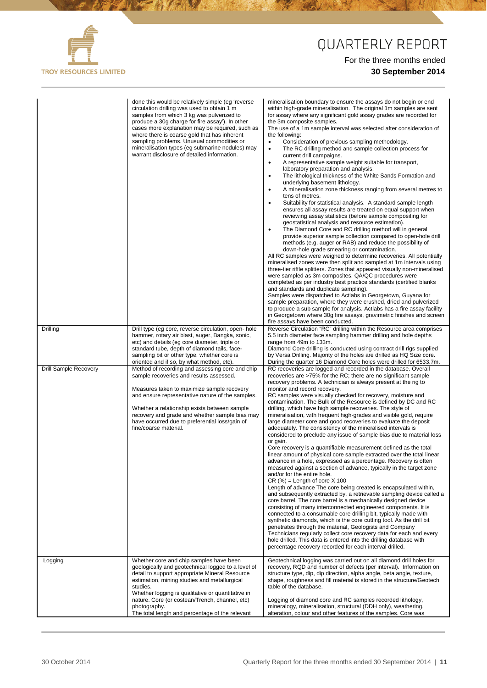

**MARTIN AND AND ACTION** 

# QUARTERLY REPORT

|                              | done this would be relatively simple (eg 'reverse<br>circulation drilling was used to obtain 1 m<br>samples from which 3 kg was pulverized to<br>produce a 30g charge for fire assay'). In other<br>cases more explanation may be required, such as<br>where there is coarse gold that has inherent<br>sampling problems. Unusual commodities or<br>mineralisation types (eg submarine nodules) may<br>warrant disclosure of detailed information. | mineralisation boundary to ensure the assays do not begin or end<br>within high-grade mineralisation. The original 1m samples are sent<br>for assay where any significant gold assay grades are recorded for<br>the 3m composite samples.<br>The use of a 1m sample interval was selected after consideration of<br>the following:<br>Consideration of previous sampling methodology.<br>$\bullet$<br>The RC drilling method and sample collection process for<br>$\bullet$<br>current drill campaigns.<br>A representative sample weight suitable for transport,<br>$\bullet$<br>laboratory preparation and analysis.<br>The lithological thickness of the White Sands Formation and<br>$\bullet$<br>underlying basement lithology.<br>A mineralisation zone thickness ranging from several metres to<br>$\bullet$<br>tens of metres.<br>Suitability for statistical analysis. A standard sample length<br>$\bullet$<br>ensures all assay results are treated on equal support when<br>reviewing assay statistics (before sample compositing for<br>geostatistical analysis and resource estimation).<br>The Diamond Core and RC drilling method will in general<br>$\bullet$<br>provide superior sample collection compared to open-hole drill<br>methods (e.g. auger or RAB) and reduce the possibility of<br>down-hole grade smearing or contamination.<br>All RC samples were weighed to determine recoveries. All potentially<br>mineralised zones were then split and sampled at 1m intervals using<br>three-tier riffle splitters. Zones that appeared visually non-mineralised<br>were sampled as 3m composites. QA/QC procedures were<br>completed as per industry best practice standards (certified blanks<br>and standards and duplicate sampling).<br>Samples were dispatched to Actlabs in Georgetown, Guyana for<br>sample preparation, where they were crushed, dried and pulverized<br>to produce a sub sample for analysis. Actlabs has a fire assay facility<br>in Georgetown where 30g fire assays, gravimetric finishes and screen<br>fire assays have been conducted. |
|------------------------------|----------------------------------------------------------------------------------------------------------------------------------------------------------------------------------------------------------------------------------------------------------------------------------------------------------------------------------------------------------------------------------------------------------------------------------------------------|----------------------------------------------------------------------------------------------------------------------------------------------------------------------------------------------------------------------------------------------------------------------------------------------------------------------------------------------------------------------------------------------------------------------------------------------------------------------------------------------------------------------------------------------------------------------------------------------------------------------------------------------------------------------------------------------------------------------------------------------------------------------------------------------------------------------------------------------------------------------------------------------------------------------------------------------------------------------------------------------------------------------------------------------------------------------------------------------------------------------------------------------------------------------------------------------------------------------------------------------------------------------------------------------------------------------------------------------------------------------------------------------------------------------------------------------------------------------------------------------------------------------------------------------------------------------------------------------------------------------------------------------------------------------------------------------------------------------------------------------------------------------------------------------------------------------------------------------------------------------------------------------------------------------------------------------------------------------------------------------------------------------------------------------------------------------------------------------|
| Drilling                     | Drill type (eg core, reverse circulation, open- hole<br>hammer, rotary air blast, auger, Bangka, sonic,                                                                                                                                                                                                                                                                                                                                            | Reverse Circulation "RC" drilling within the Resource area comprises<br>5.5 inch diameter face sampling hammer drilling and hole depths                                                                                                                                                                                                                                                                                                                                                                                                                                                                                                                                                                                                                                                                                                                                                                                                                                                                                                                                                                                                                                                                                                                                                                                                                                                                                                                                                                                                                                                                                                                                                                                                                                                                                                                                                                                                                                                                                                                                                      |
|                              | etc) and details (eg core diameter, triple or<br>standard tube, depth of diamond tails, face-                                                                                                                                                                                                                                                                                                                                                      | range from 49m to 133m.<br>Diamond Core drilling is conducted using contract drill rigs supplied                                                                                                                                                                                                                                                                                                                                                                                                                                                                                                                                                                                                                                                                                                                                                                                                                                                                                                                                                                                                                                                                                                                                                                                                                                                                                                                                                                                                                                                                                                                                                                                                                                                                                                                                                                                                                                                                                                                                                                                             |
|                              | sampling bit or other type, whether core is<br>oriented and if so, by what method, etc).                                                                                                                                                                                                                                                                                                                                                           | by Versa Drilling. Majority of the holes are drilled as HQ Size core.<br>During the quarter 16 Diamond Core holes were drilled for 6533.7m.                                                                                                                                                                                                                                                                                                                                                                                                                                                                                                                                                                                                                                                                                                                                                                                                                                                                                                                                                                                                                                                                                                                                                                                                                                                                                                                                                                                                                                                                                                                                                                                                                                                                                                                                                                                                                                                                                                                                                  |
| <b>Drill Sample Recovery</b> | Method of recording and assessing core and chip<br>sample recoveries and results assessed.<br>Measures taken to maximize sample recovery<br>and ensure representative nature of the samples.<br>Whether a relationship exists between sample<br>recovery and grade and whether sample bias may<br>have occurred due to preferential loss/gain of<br>fine/coarse material.                                                                          | RC recoveries are logged and recorded in the database. Overall<br>recoveries are >75% for the RC; there are no significant sample<br>recovery problems. A technician is always present at the rig to<br>monitor and record recovery.<br>RC samples were visually checked for recovery, moisture and<br>contamination. The Bulk of the Resource is defined by DC and RC<br>drilling, which have high sample recoveries. The style of<br>mineralisation, with frequent high-grades and visible gold, require<br>large diameter core and good recoveries to evaluate the deposit<br>adequately. The consistency of the mineralised intervals is<br>considered to preclude any issue of sample bias due to material loss<br>or gain.<br>Core recovery is a quantifiable measurement defined as the total<br>linear amount of physical core sample extracted over the total linear<br>advance in a hole, expressed as a percentage. Recovery is often<br>measured against a section of advance, typically in the target zone<br>and/or for the entire hole.<br>$CR (%) = Length of core X 100$<br>Length of advance The core being created is encapsulated within,<br>and subsequently extracted by, a retrievable sampling device called a<br>core barrel. The core barrel is a mechanically designed device<br>consisting of many interconnected engineered components. It is<br>connected to a consumable core drilling bit, typically made with<br>synthetic diamonds, which is the core cutting tool. As the drill bit<br>penetrates through the material, Geologists and Company<br>Technicians regularly collect core recovery data for each and every<br>hole drilled. This data is entered into the drilling database with<br>percentage recovery recorded for each interval drilled.                                                                                                                                                                                                                                                                                                    |
| Logging                      | Whether core and chip samples have been<br>geologically and geotechnical logged to a level of<br>detail to support appropriate Mineral Resource<br>estimation, mining studies and metallurgical<br>studies.<br>Whether logging is qualitative or quantitative in<br>nature. Core (or costean/Trench, channel, etc)                                                                                                                                 | Geotechnical logging was carried out on all diamond drill holes for<br>recovery, RQD and number of defects (per interval). Information on<br>structure type, dip, dip direction, alpha angle, beta angle, texture,<br>shape, roughness and fill material is stored in the structure/Geotech<br>table of the database.<br>Logging of diamond core and RC samples recorded lithology,                                                                                                                                                                                                                                                                                                                                                                                                                                                                                                                                                                                                                                                                                                                                                                                                                                                                                                                                                                                                                                                                                                                                                                                                                                                                                                                                                                                                                                                                                                                                                                                                                                                                                                          |
|                              | photography.<br>The total length and percentage of the relevant                                                                                                                                                                                                                                                                                                                                                                                    | mineralogy, mineralisation, structural (DDH only), weathering,<br>alteration, colour and other features of the samples. Core was                                                                                                                                                                                                                                                                                                                                                                                                                                                                                                                                                                                                                                                                                                                                                                                                                                                                                                                                                                                                                                                                                                                                                                                                                                                                                                                                                                                                                                                                                                                                                                                                                                                                                                                                                                                                                                                                                                                                                             |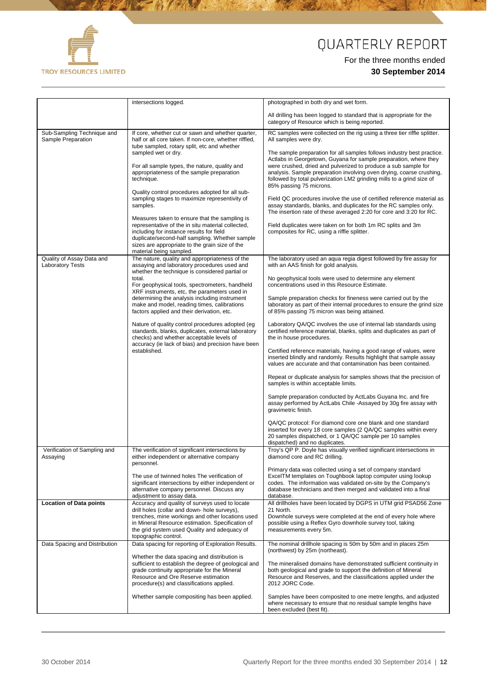

**CHANGE COMPANY** 

|                                                      | intersections logged.                                                                                                                                                                                                                                                          | photographed in both dry and wet form.                                                                                                                                                                                                                                                                                                                                                   |
|------------------------------------------------------|--------------------------------------------------------------------------------------------------------------------------------------------------------------------------------------------------------------------------------------------------------------------------------|------------------------------------------------------------------------------------------------------------------------------------------------------------------------------------------------------------------------------------------------------------------------------------------------------------------------------------------------------------------------------------------|
|                                                      |                                                                                                                                                                                                                                                                                | All drilling has been logged to standard that is appropriate for the<br>category of Resource which is being reported.                                                                                                                                                                                                                                                                    |
| Sub-Sampling Technique and<br>Sample Preparation     | If core, whether cut or sawn and whether quarter,<br>half or all core taken. If non-core, whether riffled,<br>tube sampled, rotary split, etc and whether                                                                                                                      | RC samples were collected on the rig using a three tier riffle splitter.<br>All samples were dry.                                                                                                                                                                                                                                                                                        |
| sampled wet or dry.<br>technique.                    | For all sample types, the nature, quality and<br>appropriateness of the sample preparation                                                                                                                                                                                     | The sample preparation for all samples follows industry best practice.<br>Actlabs in Georgetown, Guyana for sample preparation, where they<br>were crushed, dried and pulverized to produce a sub sample for<br>analysis. Sample preparation involving oven drying, coarse crushing,<br>followed by total pulverization LM2 grinding mills to a grind size of<br>85% passing 75 microns. |
|                                                      | Quality control procedures adopted for all sub-<br>sampling stages to maximize representivity of<br>samples.                                                                                                                                                                   | Field QC procedures involve the use of certified reference material as<br>assay standards, blanks, and duplicates for the RC samples only.<br>The insertion rate of these averaged 2:20 for core and 3:20 for RC.                                                                                                                                                                        |
|                                                      | Measures taken to ensure that the sampling is<br>representative of the in situ material collected,<br>including for instance results for field<br>duplicate/second-half sampling. Whether sample<br>sizes are appropriate to the grain size of the<br>material being sampled.  | Field duplicates were taken on for both 1m RC splits and 3m<br>composites for RC, using a riffle splitter.                                                                                                                                                                                                                                                                               |
| Quality of Assay Data and<br><b>Laboratory Tests</b> | The nature, quality and appropriateness of the<br>assaying and laboratory procedures used and<br>whether the technique is considered partial or                                                                                                                                | The laboratory used an aqua regia digest followed by fire assay for<br>with an AAS finish for gold analysis.                                                                                                                                                                                                                                                                             |
|                                                      | total.<br>For geophysical tools, spectrometers, handheld<br>XRF instruments, etc, the parameters used in                                                                                                                                                                       | No geophysical tools were used to determine any element<br>concentrations used in this Resource Estimate.                                                                                                                                                                                                                                                                                |
|                                                      | determining the analysis including instrument<br>make and model, reading times, calibrations<br>factors applied and their derivation, etc.                                                                                                                                     | Sample preparation checks for fineness were carried out by the<br>laboratory as part of their internal procedures to ensure the grind size<br>of 85% passing 75 micron was being attained.                                                                                                                                                                                               |
|                                                      | Nature of quality control procedures adopted (eg<br>standards, blanks, duplicates, external laboratory<br>checks) and whether acceptable levels of                                                                                                                             | Laboratory QA/QC involves the use of internal lab standards using<br>certified reference material, blanks, splits and duplicates as part of<br>the in house procedures.                                                                                                                                                                                                                  |
|                                                      | accuracy (ie lack of bias) and precision have been<br>established.                                                                                                                                                                                                             | Certified reference materials, having a good range of values, were<br>inserted blindly and randomly. Results highlight that sample assay<br>values are accurate and that contamination has been contained.                                                                                                                                                                               |
|                                                      |                                                                                                                                                                                                                                                                                | Repeat or duplicate analysis for samples shows that the precision of<br>samples is within acceptable limits.                                                                                                                                                                                                                                                                             |
|                                                      |                                                                                                                                                                                                                                                                                | Sample preparation conducted by ActLabs Guyana Inc. and fire<br>assay performed by ActLabs Chile -Assayed by 30g fire assay with<br>gravimetric finish.                                                                                                                                                                                                                                  |
|                                                      |                                                                                                                                                                                                                                                                                | QA/QC protocol: For diamond core one blank and one standard<br>inserted for every 18 core samples (2 QA/QC samples within every<br>20 samples dispatched, or 1 QA/QC sample per 10 samples<br>dispatched) and no duplicates.                                                                                                                                                             |
| Verification of Sampling and<br>Assaying             | The verification of significant intersections by<br>either independent or alternative company<br>personnel.                                                                                                                                                                    | Troy's QP P. Doyle has visually verified significant intersections in<br>diamond core and RC drilling.                                                                                                                                                                                                                                                                                   |
|                                                      | The use of twinned holes The verification of<br>significant intersections by either independent or<br>alternative company personnel. Discuss any<br>adjustment to assay data.                                                                                                  | Primary data was collected using a set of company standard<br>ExcelTM templates on Toughbook laptop computer using lookup<br>codes. The information was validated on-site by the Company's<br>database technicians and then merged and validated into a final<br>database.                                                                                                               |
| <b>Location of Data points</b>                       | Accuracy and quality of surveys used to locate<br>drill holes (collar and down- hole surveys),<br>trenches, mine workings and other locations used<br>in Mineral Resource estimation. Specification of<br>the grid system used Quality and adequacy of<br>topographic control. | All drillholes have been located by DGPS in UTM grid PSAD56 Zone<br>21 North.<br>Downhole surveys were completed at the end of every hole where<br>possible using a Reflex Gyro downhole survey tool, taking<br>measurements every 5m.                                                                                                                                                   |
| Data Spacing and Distribution                        | Data spacing for reporting of Exploration Results.<br>Whether the data spacing and distribution is                                                                                                                                                                             | The nominal drillhole spacing is 50m by 50m and in places 25m<br>(northwest) by 25m (northeast).                                                                                                                                                                                                                                                                                         |
|                                                      | sufficient to establish the degree of geological and<br>grade continuity appropriate for the Mineral<br>Resource and Ore Reserve estimation<br>procedure(s) and classifications applied.                                                                                       | The mineralised domains have demonstrated sufficient continuity in<br>both geological and grade to support the definition of Mineral<br>Resource and Reserves, and the classifications applied under the<br>2012 JORC Code.                                                                                                                                                              |
|                                                      | Whether sample compositing has been applied.                                                                                                                                                                                                                                   | Samples have been composited to one metre lengths, and adjusted<br>where necessary to ensure that no residual sample lengths have<br>been excluded (best fit).                                                                                                                                                                                                                           |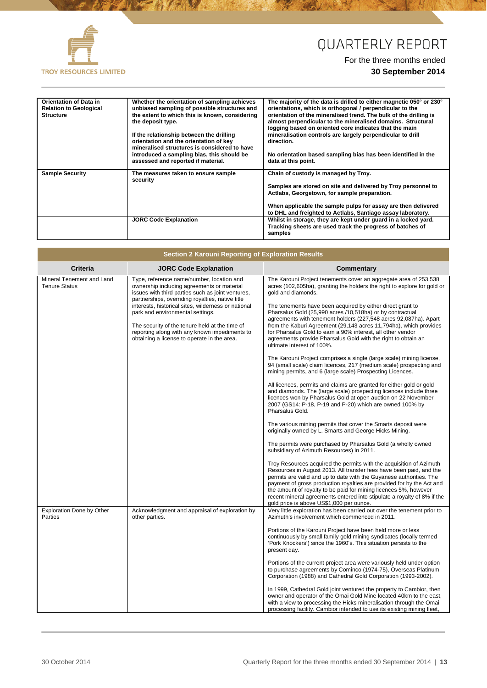

#### For the three months ended

#### **30 September 2014**

| <b>Orientation of Data in</b><br><b>Relation to Geological</b> | Whether the orientation of sampling achieves<br>unbiased sampling of possible structures and                                       | The majority of the data is drilled to either magnetic 050° or 230°<br>orientations, which is orthogonal / perpendicular to the                                                            |
|----------------------------------------------------------------|------------------------------------------------------------------------------------------------------------------------------------|--------------------------------------------------------------------------------------------------------------------------------------------------------------------------------------------|
| <b>Structure</b>                                               | the extent to which this is known, considering<br>the deposit type.                                                                | orientation of the mineralised trend. The bulk of the drilling is<br>almost perpendicular to the mineralised domains. Structural<br>logging based on oriented core indicates that the main |
|                                                                | If the relationship between the drilling<br>orientation and the orientation of key<br>mineralised structures is considered to have | mineralisation controls are largely perpendicular to drill<br>direction.                                                                                                                   |
|                                                                | introduced a sampling bias, this should be<br>assessed and reported if material.                                                   | No orientation based sampling bias has been identified in the<br>data at this point.                                                                                                       |
| <b>Sample Security</b>                                         | The measures taken to ensure sample<br>security                                                                                    | Chain of custody is managed by Troy.                                                                                                                                                       |
|                                                                |                                                                                                                                    | Samples are stored on site and delivered by Troy personnel to<br>Actlabs, Georgetown, for sample preparation.                                                                              |
|                                                                |                                                                                                                                    | When applicable the sample pulps for assay are then delivered<br>to DHL and freighted to Actlabs, Santiago assay laboratory.                                                               |
|                                                                | <b>JORC Code Explanation</b>                                                                                                       | Whilst in storage, they are kept under guard in a locked yard.<br>Tracking sheets are used track the progress of batches of<br>samples                                                     |

| <b>Section 2 Karouni Reporting of Exploration Results</b> |                                                                                                                                                                                                                                                         |                                                                                                                                                                                                                                                                                                                                                                                                                                                                                       |  |  |  |  |
|-----------------------------------------------------------|---------------------------------------------------------------------------------------------------------------------------------------------------------------------------------------------------------------------------------------------------------|---------------------------------------------------------------------------------------------------------------------------------------------------------------------------------------------------------------------------------------------------------------------------------------------------------------------------------------------------------------------------------------------------------------------------------------------------------------------------------------|--|--|--|--|
| <b>Criteria</b>                                           | <b>JORC Code Explanation</b>                                                                                                                                                                                                                            | Commentary                                                                                                                                                                                                                                                                                                                                                                                                                                                                            |  |  |  |  |
| Mineral Tenement and Land<br><b>Tenure Status</b>         | Type, reference name/number, location and<br>ownership including agreements or material<br>issues with third parties such as joint ventures,<br>partnerships, overriding royalties, native title<br>interests, historical sites, wilderness or national | The Karouni Project tenements cover an aggregate area of 253,538<br>acres (102,605ha), granting the holders the right to explore for gold or<br>gold and diamonds.<br>The tenements have been acquired by either direct grant to                                                                                                                                                                                                                                                      |  |  |  |  |
|                                                           | park and environmental settings.<br>The security of the tenure held at the time of<br>reporting along with any known impediments to<br>obtaining a license to operate in the area.                                                                      | Pharsalus Gold (25,990 acres /10,518ha) or by contractual<br>agreements with tenement holders (227,548 acres 92,087ha). Apart<br>from the Kaburi Agreement (29,143 acres 11,794ha), which provides<br>for Pharsalus Gold to earn a 90% interest, all other vendor<br>agreements provide Pharsalus Gold with the right to obtain an<br>ultimate interest of 100%.                                                                                                                      |  |  |  |  |
|                                                           |                                                                                                                                                                                                                                                         | The Karouni Project comprises a single (large scale) mining license,<br>94 (small scale) claim licences, 217 (medium scale) prospecting and<br>mining permits, and 6 (large scale) Prospecting Licences.                                                                                                                                                                                                                                                                              |  |  |  |  |
|                                                           |                                                                                                                                                                                                                                                         | All licences, permits and claims are granted for either gold or gold<br>and diamonds. The (large scale) prospecting licences include three<br>licences won by Pharsalus Gold at open auction on 22 November<br>2007 (GS14: P-18, P-19 and P-20) which are owned 100% by<br>Pharsalus Gold.                                                                                                                                                                                            |  |  |  |  |
|                                                           |                                                                                                                                                                                                                                                         | The various mining permits that cover the Smarts deposit were<br>originally owned by L. Smarts and George Hicks Mining.                                                                                                                                                                                                                                                                                                                                                               |  |  |  |  |
|                                                           |                                                                                                                                                                                                                                                         | The permits were purchased by Pharsalus Gold (a wholly owned<br>subsidiary of Azimuth Resources) in 2011.                                                                                                                                                                                                                                                                                                                                                                             |  |  |  |  |
|                                                           |                                                                                                                                                                                                                                                         | Troy Resources acquired the permits with the acquisition of Azimuth<br>Resources in August 2013. All transfer fees have been paid, and the<br>permits are valid and up to date with the Guyanese authorities. The<br>payment of gross production royalties are provided for by the Act and<br>the amount of royalty to be paid for mining licences 5%, however<br>recent mineral agreements entered into stipulate a royalty of 8% if the<br>gold price is above US\$1,000 per ounce. |  |  |  |  |
| Exploration Done by Other<br>Parties                      | Acknowledgment and appraisal of exploration by<br>other parties.                                                                                                                                                                                        | Very little exploration has been carried out over the tenement prior to<br>Azimuth's involvement which commenced in 2011.                                                                                                                                                                                                                                                                                                                                                             |  |  |  |  |
|                                                           |                                                                                                                                                                                                                                                         | Portions of the Karouni Project have been held more or less<br>continuously by small family gold mining syndicates (locally termed<br>'Pork Knockers') since the 1960's. This situation persists to the<br>present day.                                                                                                                                                                                                                                                               |  |  |  |  |
|                                                           |                                                                                                                                                                                                                                                         | Portions of the current project area were variously held under option<br>to purchase agreements by Cominco (1974-75), Overseas Platinum<br>Corporation (1988) and Cathedral Gold Corporation (1993-2002).                                                                                                                                                                                                                                                                             |  |  |  |  |
|                                                           |                                                                                                                                                                                                                                                         | In 1999, Cathedral Gold joint ventured the property to Cambior, then<br>owner and operator of the Omai Gold Mine located 40km to the east,<br>with a view to processing the Hicks mineralisation through the Omai<br>processing facility. Cambior intended to use its existing mining fleet,                                                                                                                                                                                          |  |  |  |  |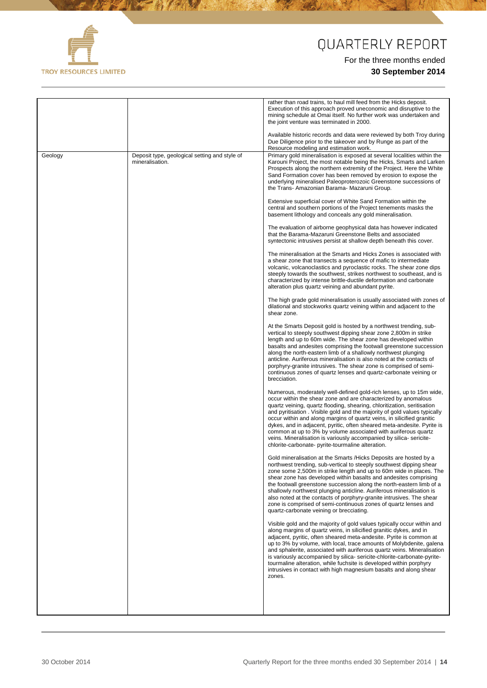

11 11 11 12 13

# QUARTERLY REPORT

|         |                                                                  | rather than road trains, to haul mill feed from the Hicks deposit.<br>Execution of this approach proved uneconomic and disruptive to the<br>mining schedule at Omai itself. No further work was undertaken and<br>the joint venture was terminated in 2000.                                                                                                                                                                                                                                                                                                                                                                                     |
|---------|------------------------------------------------------------------|-------------------------------------------------------------------------------------------------------------------------------------------------------------------------------------------------------------------------------------------------------------------------------------------------------------------------------------------------------------------------------------------------------------------------------------------------------------------------------------------------------------------------------------------------------------------------------------------------------------------------------------------------|
|         |                                                                  | Available historic records and data were reviewed by both Troy during<br>Due Diligence prior to the takeover and by Runge as part of the<br>Resource modeling and estimation work.                                                                                                                                                                                                                                                                                                                                                                                                                                                              |
| Geology | Deposit type, geological setting and style of<br>mineralisation. | Primary gold mineralisation is exposed at several localities within the<br>Karouni Project, the most notable being the Hicks, Smarts and Larken<br>Prospects along the northern extremity of the Project. Here the White<br>Sand Formation cover has been removed by erosion to expose the<br>underlying mineralised Paleoproterozoic Greenstone successions of<br>the Trans- Amazonian Barama- Mazaruni Group.                                                                                                                                                                                                                                 |
|         |                                                                  | Extensive superficial cover of White Sand Formation within the<br>central and southern portions of the Project tenements masks the<br>basement lithology and conceals any gold mineralisation.                                                                                                                                                                                                                                                                                                                                                                                                                                                  |
|         |                                                                  | The evaluation of airborne geophysical data has however indicated<br>that the Barama-Mazaruni Greenstone Belts and associated<br>syntectonic intrusives persist at shallow depth beneath this cover.                                                                                                                                                                                                                                                                                                                                                                                                                                            |
|         |                                                                  | The mineralisation at the Smarts and Hicks Zones is associated with<br>a shear zone that transects a sequence of mafic to intermediate<br>volcanic, volcanoclastics and pyroclastic rocks. The shear zone dips<br>steeply towards the southwest, strikes northwest to southeast, and is<br>characterized by intense brittle-ductile deformation and carbonate<br>alteration plus quartz veining and abundant pyrite.                                                                                                                                                                                                                            |
|         |                                                                  | The high grade gold mineralisation is usually associated with zones of<br>dilational and stockworks quartz veining within and adjacent to the<br>shear zone.                                                                                                                                                                                                                                                                                                                                                                                                                                                                                    |
|         |                                                                  | At the Smarts Deposit gold is hosted by a northwest trending, sub-<br>vertical to steeply southwest dipping shear zone 2,800m in strike<br>length and up to 60m wide. The shear zone has developed within<br>basalts and andesites comprising the footwall greenstone succession<br>along the north-eastern limb of a shallowly northwest plunging<br>anticline. Auriferous mineralisation is also noted at the contacts of<br>porphyry-granite intrusives. The shear zone is comprised of semi-<br>continuous zones of quartz lenses and quartz-carbonate veining or<br>brecciation.                                                           |
|         |                                                                  | Numerous, moderately well-defined gold-rich lenses, up to 15m wide,<br>occur within the shear zone and are characterized by anomalous<br>quartz veining, quartz flooding, shearing, chloritization, seritisation<br>and pyritisation. Visible gold and the majority of gold values typically<br>occur within and along margins of quartz veins, in silicified granitic<br>dykes, and in adjacent, pyritic, often sheared meta-andesite. Pyrite is<br>common at up to 3% by volume associated with auriferous quartz<br>veins. Mineralisation is variously accompanied by silica- sericite-<br>chlorite-carbonate- pyrite-tourmaline alteration. |
|         |                                                                  | Gold mineralisation at the Smarts / Hicks Deposits are hosted by a<br>northwest trending, sub-vertical to steeply southwest dipping shear<br>zone some 2,500m in strike length and up to 60m wide in places. The<br>shear zone has developed within basalts and andesites comprising<br>the footwall greenstone succession along the north-eastern limb of a<br>shallowly northwest plunging anticline. Auriferous mineralisation is<br>also noted at the contacts of porphyry-granite intrusives. The shear<br>zone is comprised of semi-continuous zones of quartz lenses and<br>quartz-carbonate veining or brecciating.                     |
|         |                                                                  | Visible gold and the majority of gold values typically occur within and<br>along margins of quartz veins, in silicified granitic dykes, and in<br>adjacent, pyritic, often sheared meta-andesite. Pyrite is common at<br>up to 3% by volume, with local, trace amounts of Molybdenite, galena<br>and sphalerite, associated with auriferous quartz veins. Mineralisation<br>is variously accompanied by silica- sericite-chlorite-carbonate-pyrite-<br>tourmaline alteration, while fuchsite is developed within porphyry<br>intrusives in contact with high magnesium basalts and along shear<br>zones.                                        |
|         |                                                                  |                                                                                                                                                                                                                                                                                                                                                                                                                                                                                                                                                                                                                                                 |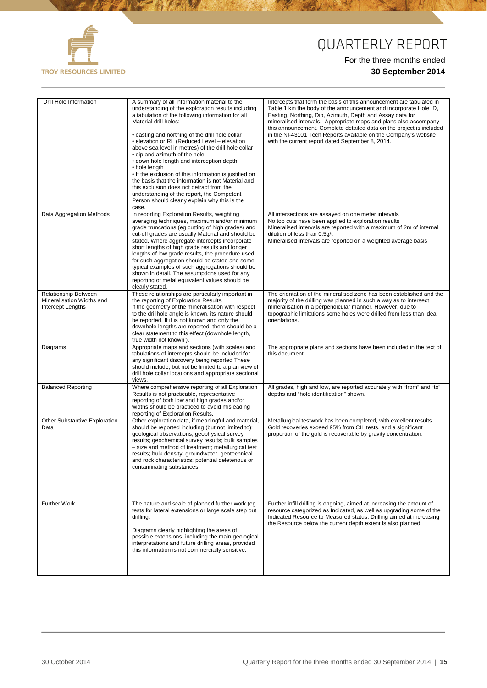

**CHANGE COMPANY** 

# QUARTERLY REPORT

## For the three months ended

#### **30 September 2014**

| Drill Hole Information                                                        | A summary of all information material to the<br>understanding of the exploration results including<br>a tabulation of the following information for all<br>Material drill holes:<br>• easting and northing of the drill hole collar<br>• elevation or RL (Reduced Level - elevation<br>above sea level in metres) of the drill hole collar<br>• dip and azimuth of the hole<br>• down hole length and interception depth<br>• hole length<br>• If the exclusion of this information is justified on<br>the basis that the information is not Material and<br>this exclusion does not detract from the<br>understanding of the report, the Competent<br>Person should clearly explain why this is the | Intercepts that form the basis of this announcement are tabulated in<br>Table 1 kin the body of the announcement and incorporate Hole ID,<br>Easting, Northing, Dip, Azimuth, Depth and Assay data for<br>mineralised intervals. Appropriate maps and plans also accompany<br>this announcement. Complete detailed data on the project is included<br>in the NI-43101 Tech Reports available on the Company's website<br>with the current report dated September 8, 2014. |
|-------------------------------------------------------------------------------|------------------------------------------------------------------------------------------------------------------------------------------------------------------------------------------------------------------------------------------------------------------------------------------------------------------------------------------------------------------------------------------------------------------------------------------------------------------------------------------------------------------------------------------------------------------------------------------------------------------------------------------------------------------------------------------------------|---------------------------------------------------------------------------------------------------------------------------------------------------------------------------------------------------------------------------------------------------------------------------------------------------------------------------------------------------------------------------------------------------------------------------------------------------------------------------|
| Data Aggregation Methods                                                      | case.<br>In reporting Exploration Results, weighting<br>averaging techniques, maximum and/or minimum<br>grade truncations (eg cutting of high grades) and<br>cut-off grades are usually Material and should be<br>stated. Where aggregate intercepts incorporate<br>short lengths of high grade results and longer<br>lengths of low grade results, the procedure used<br>for such aggregation should be stated and some<br>typical examples of such aggregations should be<br>shown in detail. The assumptions used for any<br>reporting of metal equivalent values should be<br>clearly stated.                                                                                                    | All intersections are assayed on one meter intervals<br>No top cuts have been applied to exploration results<br>Mineralised intervals are reported with a maximum of 2m of internal<br>dilution of less than 0.5g/t<br>Mineralised intervals are reported on a weighted average basis                                                                                                                                                                                     |
| <b>Relationship Between</b><br>Mineralisation Widths and<br>Intercept Lengths | These relationships are particularly important in<br>the reporting of Exploration Results.<br>If the geometry of the mineralisation with respect<br>to the drillhole angle is known, its nature should<br>be reported. If it is not known and only the<br>downhole lengths are reported, there should be a<br>clear statement to this effect (downhole length,<br>true width not known').                                                                                                                                                                                                                                                                                                            | The orientation of the mineralised zone has been established and the<br>majority of the drilling was planned in such a way as to intersect<br>mineralisation in a perpendicular manner. However, due to<br>topographic limitations some holes were drilled from less than ideal<br>orientations.                                                                                                                                                                          |
| Diagrams                                                                      | Appropriate maps and sections (with scales) and<br>tabulations of intercepts should be included for<br>any significant discovery being reported These<br>should include, but not be limited to a plan view of<br>drill hole collar locations and appropriate sectional<br>views.                                                                                                                                                                                                                                                                                                                                                                                                                     | The appropriate plans and sections have been included in the text of<br>this document.                                                                                                                                                                                                                                                                                                                                                                                    |
| <b>Balanced Reporting</b>                                                     | Where comprehensive reporting of all Exploration<br>Results is not practicable, representative<br>reporting of both low and high grades and/or<br>widths should be practiced to avoid misleading<br>reporting of Exploration Results.                                                                                                                                                                                                                                                                                                                                                                                                                                                                | All grades, high and low, are reported accurately with "from" and "to"<br>depths and "hole identification" shown.                                                                                                                                                                                                                                                                                                                                                         |
| Other Substantive Exploration<br>Data                                         | Other exploration data, if meaningful and material,<br>should be reported including (but not limited to):<br>geological observations; geophysical survey<br>results; geochemical survey results; bulk samples<br>- size and method of treatment; metallurgical test<br>results; bulk density, groundwater, geotechnical<br>and rock characteristics; potential deleterious or<br>contaminating substances.                                                                                                                                                                                                                                                                                           | Metallurgical testwork has been completed, with excellent results.<br>Gold recoveries exceed 95% from CIL tests, and a significant<br>proportion of the gold is recoverable by gravity concentration.                                                                                                                                                                                                                                                                     |
| <b>Further Work</b>                                                           | The nature and scale of planned further work (eg<br>tests for lateral extensions or large scale step out<br>drilling.<br>Diagrams clearly highlighting the areas of<br>possible extensions, including the main geological<br>interpretations and future drilling areas, provided<br>this information is not commercially sensitive.                                                                                                                                                                                                                                                                                                                                                                  | Further infill drilling is ongoing, aimed at increasing the amount of<br>resource categorized as Indicated, as well as upgrading some of the<br>Indicated Resource to Measured status. Drilling aimed at increasing<br>the Resource below the current depth extent is also planned.                                                                                                                                                                                       |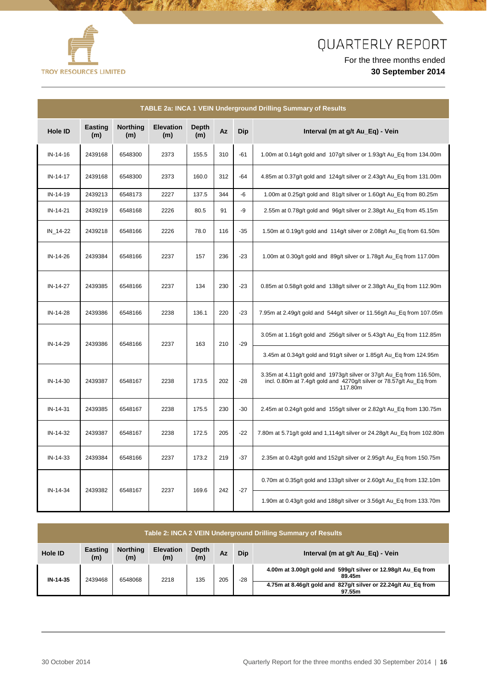

我们的 人名

| <b>TABLE 2a: INCA 1 VEIN Underground Drilling Summary of Results</b> |                       |                        |                         |                     |           |              |                                                                                                                                                          |
|----------------------------------------------------------------------|-----------------------|------------------------|-------------------------|---------------------|-----------|--------------|----------------------------------------------------------------------------------------------------------------------------------------------------------|
| <b>Hole ID</b>                                                       | <b>Easting</b><br>(m) | <b>Northing</b><br>(m) | <b>Elevation</b><br>(m) | <b>Depth</b><br>(m) | <b>Az</b> | Dip          | Interval (m at g/t Au_Eq) - Vein                                                                                                                         |
| IN-14-16                                                             | 2439168               | 6548300                | 2373                    | 155.5               | 310       | $-61$        | 1.00m at 0.14g/t gold and 107g/t silver or 1.93g/t Au_Eq from 134.00m                                                                                    |
| IN-14-17                                                             | 2439168               | 6548300                | 2373                    | 160.0               | 312       | $-64$        | 4.85m at 0.37 $q/t$ gold and 124 $q/t$ silver or 2.43 $q/t$ Au Eq from 131.00m                                                                           |
| IN-14-19                                                             | 2439213               | 6548173                | 2227                    | 137.5               | 344       | -6           | 1.00m at 0.25g/t gold and 81g/t silver or 1.60g/t Au_Eq from 80.25m                                                                                      |
| IN-14-21                                                             | 2439219               | 6548168                | 2226                    | 80.5                | 91        | -9           | 2.55m at 0.78g/t gold and 96g/t silver or 2.38g/t Au_Eq from 45.15m                                                                                      |
| $IN_14-22$                                                           | 2439218               | 6548166                | 2226                    | 78.0                | 116       | $-35$        | 1.50m at 0.19g/t gold and 114g/t silver or 2.08g/t Au_Eq from 61.50m                                                                                     |
| IN-14-26                                                             | 2439384               | 6548166                | 2237                    | 157                 | 236       | $-23$        | 1.00m at 0.30g/t gold and 89g/t silver or 1.78g/t Au_Eq from 117.00m                                                                                     |
| IN-14-27                                                             | 2439385               | 6548166                | 2237                    | 134                 | 230       | $-23$        | 0.85m at 0.58 $q/t$ gold and 138 $q/t$ silver or 2.38 $q/t$ Au Eq from 112.90m                                                                           |
| IN-14-28                                                             | 2439386               | 6548166                | 2238                    | 136.1               | 220       | $-23$        | 7.95m at 2.49g/t gold and 544g/t silver or 11.56g/t Au_Eq from 107.05m                                                                                   |
| IN-14-29                                                             | 2439386               | 6548166                | 2237                    | 163                 | 210       | $-29$        | 3.05m at 1.16g/t gold and 256g/t silver or 5.43g/t Au_Eq from 112.85m                                                                                    |
|                                                                      |                       |                        |                         |                     |           |              | 3.45m at 0.34g/t gold and 91g/t silver or 1.85g/t Au_Eq from 124.95m                                                                                     |
| IN-14-30                                                             | 2439387               | 6548167                | 2238                    | 173.5               | 202       | $-28$        | 3.35m at 4.11g/t gold and 1973g/t silver or 37g/t Au_Eq from 116.50m,<br>incl. 0.80m at 7.4g/t gold and 4270g/t silver or 78.57g/t Au_Eq from<br>117.80m |
| IN-14-31                                                             | 2439385               | 6548167                | 2238                    | 175.5               | 230       | $-30$        | 2.45m at 0.24g/t gold and 155g/t silver or 2.82g/t Au_Eq from 130.75m                                                                                    |
| IN-14-32                                                             | 2439387               | 6548167                | 2238                    | 172.5               | 205       | $-22$        | 7.80m at 5.71g/t gold and 1,114g/t silver or 24.28g/t Au_Eq from 102.80m                                                                                 |
| IN-14-33                                                             | 2439384               | 6548166                | 2237                    | 173.2               | 219       | $-37$        | 2.35m at 0.42g/t gold and 152g/t silver or 2.95g/t Au_Eq from 150.75m                                                                                    |
| IN-14-34                                                             | 2439382               | 6548167                | 2237                    | 169.6               |           |              | 0.70m at 0.35g/t gold and 133g/t silver or 2.60g/t Au_Eq from 132.10m                                                                                    |
|                                                                      |                       |                        |                         |                     |           | 242<br>$-27$ | 1.90m at 0.43g/t gold and 188g/t silver or 3.56g/t Au_Eq from 133.70m                                                                                    |

| Table 2: INCA 2 VEIN Underground Drilling Summary of Results |                       |                        |                         |              |    |     |                                                                          |  |  |  |     |                                                                          |
|--------------------------------------------------------------|-----------------------|------------------------|-------------------------|--------------|----|-----|--------------------------------------------------------------------------|--|--|--|-----|--------------------------------------------------------------------------|
| <b>Hole ID</b>                                               | <b>Easting</b><br>(m) | <b>Northing</b><br>(m) | <b>Elevation</b><br>(m) | Depth<br>(m) | Az | Dip | Interval (m at g/t Au Eg) - Vein                                         |  |  |  |     |                                                                          |
| IN-14-35                                                     | 2439468               | 6548068                | 2218                    | 135          |    | 205 |                                                                          |  |  |  | -28 | 4.00m at 3.00g/t gold and 599g/t silver or 12.98g/t Au_Eq from<br>89.45m |
|                                                              |                       |                        |                         |              |    |     | 4.75m at 8.46g/t gold and 827g/t silver or 22.24g/t Au_Eq from<br>97.55m |  |  |  |     |                                                                          |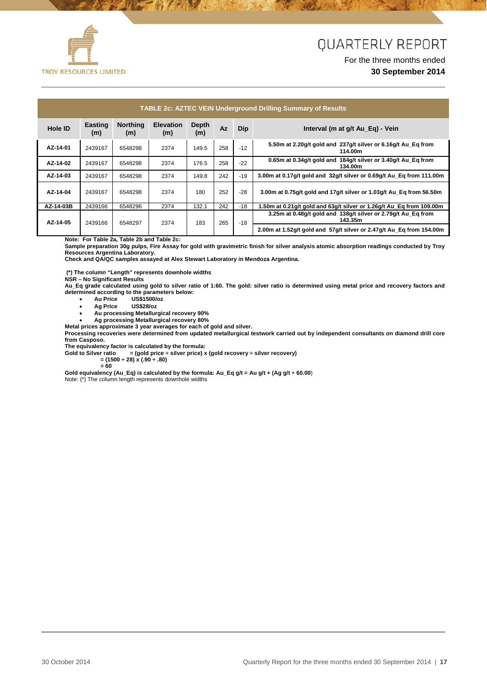



#### For the three months ended **30 September 2014**

| <b>TABLE 2c: AZTEC VEIN Underground Drilling Summary of Results</b> |                       |                        |                         |                     |           |       |                                                                                  |  |
|---------------------------------------------------------------------|-----------------------|------------------------|-------------------------|---------------------|-----------|-------|----------------------------------------------------------------------------------|--|
| Hole ID                                                             | <b>Easting</b><br>(m) | <b>Northing</b><br>(m) | <b>Elevation</b><br>(m) | <b>Depth</b><br>(m) | <b>Az</b> | Dip   | Interval (m at g/t Au Eg) - Vein                                                 |  |
| AZ-14-01                                                            | 2439167               | 6548298                | 2374                    | 149.5               | 258       | $-12$ | 5.50m at 2.20g/t gold and 237g/t silver or 6.16g/t Au Eq from<br>114.00m         |  |
| AZ-14-02                                                            | 2439167               | 6548298                | 2374                    | 176.5               | 258       | $-22$ | 0.65m at 0.34g/t gold and 184g/t silver or 3.40g/t Au Eq from<br>134.00m         |  |
| AZ-14-03                                                            | 2439167               | 6548298                | 2374                    | 149.8               | 242       | $-19$ | 3.00m at 0.17g/t gold and 32g/t silver or 0.69g/t Au Eq from 111.00m             |  |
| AZ-14-04                                                            | 2439167               | 6548298                | 2374                    | 180                 | 252       | $-28$ | 3.00m at 0.75 $q/t$ gold and 17 $q/t$ silver or 1.03 $q/t$ Au Eq from 56.50m     |  |
| AZ-14-03B                                                           | 2439166               | 6548296                | 2374                    | 132.1               | 242       | $-18$ | 1.50m at 0.21 $q$ /t gold and 63 $q$ /t silver or 1.26 $q$ /t Au Eq from 109.00m |  |
| AZ-14-05                                                            | 2439166               | 6548297                | 2374                    | 183                 | 265       | $-18$ | 3.25m at 0.48g/t gold and 138g/t silver or 2.79g/t Au Eq from<br>143.35m         |  |
|                                                                     |                       |                        |                         |                     |           |       | 2.00m at 1.52q/t gold and 57q/t silver or 2.47q/t Au Eq from 154.00m             |  |

**Note: For Table 2a, Table 2b and Table 2c:**

**Sample preparation 30g pulps, Fire Assay for gold with gravimetric finish for silver analysis atomic absorption readings conducted by Troy Resources Argentina Laboratory.** 

**Check and QA/QC samples assayed at Alex Stewart Laboratory in Mendoza Argentina.**

**(\*) The column "Length" represents downhole widths**

**NSR – No Significant Results**

**Au\_Eq grade calculated using gold to silver ratio of 1:60. The gold: silver ratio is determined using metal price and recovery factors and determined according to the parameters below:**

• **Au Price US\$1500/oz**

 $Ag$  Price

• **Au processing Metallurgical recovery 90%**

• **Ag processing Metallurgical recovery 80%**

**Metal prices approximate 3 year averages for each of gold and silver.**

**Processing recoveries were determined from updated metallurgical testwork carried out by independent consultants on diamond drill core from Casposo.** 

**The equivalency factor is calculated by the formula:**

**Gold to Silver ratio = (gold price ÷ silver price) x (gold recovery ÷ silver recovery)**

**= (1500 ÷ 28) x (.90 ÷ .80)**

**= 60**

**Gold equivalency (Au\_Eq) is calculated by the formula: Au\_Eq g/t = Au g/t + (Ag g/t ÷ 60.00**) Note: (\*) The column length represents downhole widths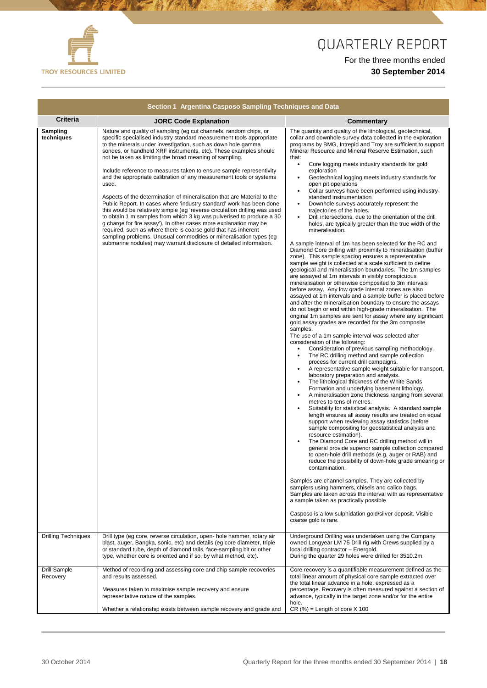

11 11 12 13 13

# QUARTERLY REPORT

|                            | Section 1 Argentina Casposo Sampling Techniques and Data                                                                                                                                                                                                                                                                                                                                                                                                                                                                                                                                                                                                                                                                                                                                                                                                                                                                                                                                                                                                                                    |                                                                                                                                                                                                                                                                                                                                                                                                                                                                                                                                                                                                                                                                                                                                                                                                                                                                                                                                                                                                                                                                                                                                                                                                                                                                                                                                                                                                                                                                                                                                                                                                                                                                                                                                                                                                                                                                                                                                                                                                                                                                                                                                                                                                                                                                                                                                                                                                                                                                                                                                                                                                                                                                                                                                                                                                                                                                                                                                                                                      |
|----------------------------|---------------------------------------------------------------------------------------------------------------------------------------------------------------------------------------------------------------------------------------------------------------------------------------------------------------------------------------------------------------------------------------------------------------------------------------------------------------------------------------------------------------------------------------------------------------------------------------------------------------------------------------------------------------------------------------------------------------------------------------------------------------------------------------------------------------------------------------------------------------------------------------------------------------------------------------------------------------------------------------------------------------------------------------------------------------------------------------------|--------------------------------------------------------------------------------------------------------------------------------------------------------------------------------------------------------------------------------------------------------------------------------------------------------------------------------------------------------------------------------------------------------------------------------------------------------------------------------------------------------------------------------------------------------------------------------------------------------------------------------------------------------------------------------------------------------------------------------------------------------------------------------------------------------------------------------------------------------------------------------------------------------------------------------------------------------------------------------------------------------------------------------------------------------------------------------------------------------------------------------------------------------------------------------------------------------------------------------------------------------------------------------------------------------------------------------------------------------------------------------------------------------------------------------------------------------------------------------------------------------------------------------------------------------------------------------------------------------------------------------------------------------------------------------------------------------------------------------------------------------------------------------------------------------------------------------------------------------------------------------------------------------------------------------------------------------------------------------------------------------------------------------------------------------------------------------------------------------------------------------------------------------------------------------------------------------------------------------------------------------------------------------------------------------------------------------------------------------------------------------------------------------------------------------------------------------------------------------------------------------------------------------------------------------------------------------------------------------------------------------------------------------------------------------------------------------------------------------------------------------------------------------------------------------------------------------------------------------------------------------------------------------------------------------------------------------------------------------------|
| <b>Criteria</b>            | <b>JORC Code Explanation</b>                                                                                                                                                                                                                                                                                                                                                                                                                                                                                                                                                                                                                                                                                                                                                                                                                                                                                                                                                                                                                                                                | <b>Commentary</b>                                                                                                                                                                                                                                                                                                                                                                                                                                                                                                                                                                                                                                                                                                                                                                                                                                                                                                                                                                                                                                                                                                                                                                                                                                                                                                                                                                                                                                                                                                                                                                                                                                                                                                                                                                                                                                                                                                                                                                                                                                                                                                                                                                                                                                                                                                                                                                                                                                                                                                                                                                                                                                                                                                                                                                                                                                                                                                                                                                    |
| Sampling<br>techniques     | Nature and quality of sampling (eg cut channels, random chips, or<br>specific specialised industry standard measurement tools appropriate<br>to the minerals under investigation, such as down hole gamma<br>sondes, or handheld XRF instruments, etc). These examples should<br>not be taken as limiting the broad meaning of sampling.<br>Include reference to measures taken to ensure sample representivity<br>and the appropriate calibration of any measurement tools or systems<br>used.<br>Aspects of the determination of mineralisation that are Material to the<br>Public Report. In cases where 'industry standard' work has been done<br>this would be relatively simple (eg 'reverse circulation drilling was used<br>to obtain 1 m samples from which 3 kg was pulverised to produce a 30<br>g charge for fire assay'). In other cases more explanation may be<br>required, such as where there is coarse gold that has inherent<br>sampling problems. Unusual commodities or mineralisation types (eg<br>submarine nodules) may warrant disclosure of detailed information. | The quantity and quality of the lithological, geotechnical,<br>collar and downhole survey data collected in the exploration<br>programs by BMG, Intrepid and Troy are sufficient to support<br>Mineral Resource and Mineral Reserve Estimation, such<br>that:<br>$\bullet$<br>Core logging meets industry standards for gold<br>exploration<br>Geotechnical logging meets industry standards for<br>$\bullet$<br>open pit operations<br>Collar surveys have been performed using industry-<br>$\bullet$<br>standard instrumentation<br>Downhole surveys accurately represent the<br>trajectories of the holes.<br>Drill intersections, due to the orientation of the drill<br>$\bullet$<br>holes, are typically greater than the true width of the<br>mineralisation.<br>A sample interval of 1m has been selected for the RC and<br>Diamond Core drilling with proximity to mineralisation (buffer<br>zone). This sample spacing ensures a representative<br>sample weight is collected at a scale sufficient to define<br>geological and mineralisation boundaries. The 1m samples<br>are assayed at 1m intervals in visibly conspicuous<br>mineralisation or otherwise composited to 3m intervals<br>before assay. Any low grade internal zones are also<br>assayed at 1m intervals and a sample buffer is placed before<br>and after the mineralisation boundary to ensure the assays<br>do not begin or end within high-grade mineralisation. The<br>original 1m samples are sent for assay where any significant<br>gold assay grades are recorded for the 3m composite<br>samples.<br>The use of a 1m sample interval was selected after<br>consideration of the following:<br>Consideration of previous sampling methodology.<br>$\bullet$<br>The RC drilling method and sample collection<br>process for current drill campaigns.<br>A representative sample weight suitable for transport,<br>$\bullet$<br>laboratory preparation and analysis.<br>The lithological thickness of the White Sands<br>$\bullet$<br>Formation and underlying basement lithology.<br>A mineralisation zone thickness ranging from several<br>metres to tens of metres.<br>Suitability for statistical analysis. A standard sample<br>$\bullet$<br>length ensures all assay results are treated on equal<br>support when reviewing assay statistics (before<br>sample compositing for geostatistical analysis and<br>resource estimation).<br>The Diamond Core and RC drilling method will in<br>general provide superior sample collection compared<br>to open-hole drill methods (e.g. auger or RAB) and<br>reduce the possibility of down-hole grade smearing or<br>contamination.<br>Samples are channel samples. They are collected by<br>samplers using hammers, chisels and calico bags.<br>Samples are taken across the interval with as representative<br>a sample taken as practically possible<br>Casposo is a low sulphidation gold/silver deposit. Visible<br>coarse gold is rare. |
| <b>Drilling Techniques</b> | Drill type (eg core, reverse circulation, open- hole hammer, rotary air<br>blast, auger, Bangka, sonic, etc) and details (eg core diameter, triple<br>or standard tube, depth of diamond tails, face-sampling bit or other<br>type, whether core is oriented and if so, by what method, etc).                                                                                                                                                                                                                                                                                                                                                                                                                                                                                                                                                                                                                                                                                                                                                                                               | Underground Drilling was undertaken using the Company<br>owned Longyear LM 75 Drill rig with Crews supplied by a<br>local drilling contractor - Energold.<br>During the quarter 29 holes were drilled for 3510.2m.                                                                                                                                                                                                                                                                                                                                                                                                                                                                                                                                                                                                                                                                                                                                                                                                                                                                                                                                                                                                                                                                                                                                                                                                                                                                                                                                                                                                                                                                                                                                                                                                                                                                                                                                                                                                                                                                                                                                                                                                                                                                                                                                                                                                                                                                                                                                                                                                                                                                                                                                                                                                                                                                                                                                                                   |
| Drill Sample<br>Recovery   | Method of recording and assessing core and chip sample recoveries<br>and results assessed.<br>Measures taken to maximise sample recovery and ensure<br>representative nature of the samples.<br>Whether a relationship exists between sample recovery and grade and                                                                                                                                                                                                                                                                                                                                                                                                                                                                                                                                                                                                                                                                                                                                                                                                                         | Core recovery is a quantifiable measurement defined as the<br>total linear amount of physical core sample extracted over<br>the total linear advance in a hole, expressed as a<br>percentage. Recovery is often measured against a section of<br>advance, typically in the target zone and/or for the entire<br>hole.<br>$CR$ (%) = Length of core $X$ 100                                                                                                                                                                                                                                                                                                                                                                                                                                                                                                                                                                                                                                                                                                                                                                                                                                                                                                                                                                                                                                                                                                                                                                                                                                                                                                                                                                                                                                                                                                                                                                                                                                                                                                                                                                                                                                                                                                                                                                                                                                                                                                                                                                                                                                                                                                                                                                                                                                                                                                                                                                                                                           |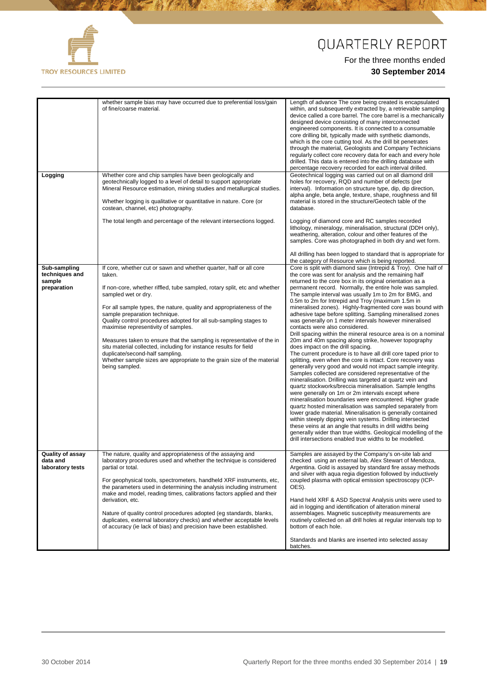

**CHANGE COMPANY** 

# QUARTERLY REPORT

For the three months ended

# **30 September 2014**

|                                                         | whether sample bias may have occurred due to preferential loss/gain<br>of fine/coarse material.                                                                                                                                                                                                                                                                                                                                                                                                                                                                                                                                                                                     | Length of advance The core being created is encapsulated<br>within, and subsequently extracted by, a retrievable sampling<br>device called a core barrel. The core barrel is a mechanically<br>designed device consisting of many interconnected<br>engineered components. It is connected to a consumable<br>core drilling bit, typically made with synthetic diamonds,<br>which is the core cutting tool. As the drill bit penetrates<br>through the material, Geologists and Company Technicians<br>regularly collect core recovery data for each and every hole<br>drilled. This data is entered into the drilling database with<br>percentage recovery recorded for each interval drilled.                                                                                                                                                                                                                                                                                                                                                                                                                                                                                                                                                                                                                                                                                                                                                                                                                                                                                                                                                                                             |
|---------------------------------------------------------|-------------------------------------------------------------------------------------------------------------------------------------------------------------------------------------------------------------------------------------------------------------------------------------------------------------------------------------------------------------------------------------------------------------------------------------------------------------------------------------------------------------------------------------------------------------------------------------------------------------------------------------------------------------------------------------|---------------------------------------------------------------------------------------------------------------------------------------------------------------------------------------------------------------------------------------------------------------------------------------------------------------------------------------------------------------------------------------------------------------------------------------------------------------------------------------------------------------------------------------------------------------------------------------------------------------------------------------------------------------------------------------------------------------------------------------------------------------------------------------------------------------------------------------------------------------------------------------------------------------------------------------------------------------------------------------------------------------------------------------------------------------------------------------------------------------------------------------------------------------------------------------------------------------------------------------------------------------------------------------------------------------------------------------------------------------------------------------------------------------------------------------------------------------------------------------------------------------------------------------------------------------------------------------------------------------------------------------------------------------------------------------------|
| Logging                                                 | Whether core and chip samples have been geologically and<br>geotechnically logged to a level of detail to support appropriate<br>Mineral Resource estimation, mining studies and metallurgical studies.<br>Whether logging is qualitative or quantitative in nature. Core (or<br>costean, channel, etc) photography.<br>The total length and percentage of the relevant intersections logged.                                                                                                                                                                                                                                                                                       | Geotechnical logging was carried out on all diamond drill<br>holes for recovery, RQD and number of defects (per<br>interval). Information on structure type, dip, dip direction,<br>alpha angle, beta angle, texture, shape, roughness and fill<br>material is stored in the structure/Geotech table of the<br>database.<br>Logging of diamond core and RC samples recorded<br>lithology, mineralogy, mineralisation, structural (DDH only),<br>weathering, alteration, colour and other features of the<br>samples. Core was photographed in both dry and wet form.<br>All drilling has been logged to standard that is appropriate for                                                                                                                                                                                                                                                                                                                                                                                                                                                                                                                                                                                                                                                                                                                                                                                                                                                                                                                                                                                                                                                    |
| Sub-sampling<br>techniques and<br>sample<br>preparation | If core, whether cut or sawn and whether quarter, half or all core<br>taken.<br>If non-core, whether riffled, tube sampled, rotary split, etc and whether<br>sampled wet or dry.<br>For all sample types, the nature, quality and appropriateness of the<br>sample preparation technique.<br>Quality control procedures adopted for all sub-sampling stages to<br>maximise representivity of samples.<br>Measures taken to ensure that the sampling is representative of the in<br>situ material collected, including for instance results for field<br>duplicate/second-half sampling.<br>Whether sample sizes are appropriate to the grain size of the material<br>being sampled. | the category of Resource which is being reported.<br>Core is split with diamond saw (Intrepid & Troy). One half of<br>the core was sent for analysis and the remaining half<br>returned to the core box in its original orientation as a<br>permanent record. Normally, the entire hole was sampled.<br>The sample interval was usually 1m to 2m for BMG, and<br>0.5m to 2m for Intrepid and Troy (maximum 1.5m in<br>mineralised zones). Highly-fragmented core was bound with<br>adhesive tape before splitting. Sampling mineralised zones<br>was generally on 1 meter intervals however mineralised<br>contacts were also considered.<br>Drill spacing within the mineral resource area is on a nominal<br>20m and 40m spacing along strike, however topography<br>does impact on the drill spacing.<br>The current procedure is to have all drill core taped prior to<br>splitting, even when the core is intact. Core recovery was<br>generally very good and would not impact sample integrity.<br>Samples collected are considered representative of the<br>mineralisation. Drilling was targeted at quartz vein and<br>quartz stockworks/breccia mineralisation. Sample lengths<br>were generally on 1m or 2m intervals except where<br>mineralisation boundaries were encountered. Higher grade<br>quartz hosted mineralisation was sampled separately from<br>lower grade material. Mineralisation is generally contained<br>within steeply dipping vein systems. Drilling intersected<br>these veins at an angle that results in drill widths being<br>generally wider than true widths. Geological modelling of the<br>drill intersections enabled true widths to be modelled. |
| Quality of assay<br>data and<br>laboratory tests        | The nature, quality and appropriateness of the assaying and<br>laboratory procedures used and whether the technique is considered<br>partial or total.<br>For geophysical tools, spectrometers, handheld XRF instruments, etc,<br>the parameters used in determining the analysis including instrument<br>make and model, reading times, calibrations factors applied and their<br>derivation, etc.<br>Nature of quality control procedures adopted (eg standards, blanks,<br>duplicates, external laboratory checks) and whether acceptable levels<br>of accuracy (ie lack of bias) and precision have been established.                                                           | Samples are assayed by the Company's on-site lab and<br>checked using an external lab, Alex Stewart of Mendoza,<br>Argentina. Gold is assayed by standard fire assay methods<br>and silver with aqua regia digestion followed by inductively<br>coupled plasma with optical emission spectroscopy (ICP-<br>OES).<br>Hand held XRF & ASD Spectral Analysis units were used to<br>aid in logging and identification of alteration mineral<br>assemblages. Magnetic susceptivity measurements are<br>routinely collected on all drill holes at regular intervals top to<br>bottom of each hole.<br>Standards and blanks are inserted into selected assay<br>batches.                                                                                                                                                                                                                                                                                                                                                                                                                                                                                                                                                                                                                                                                                                                                                                                                                                                                                                                                                                                                                           |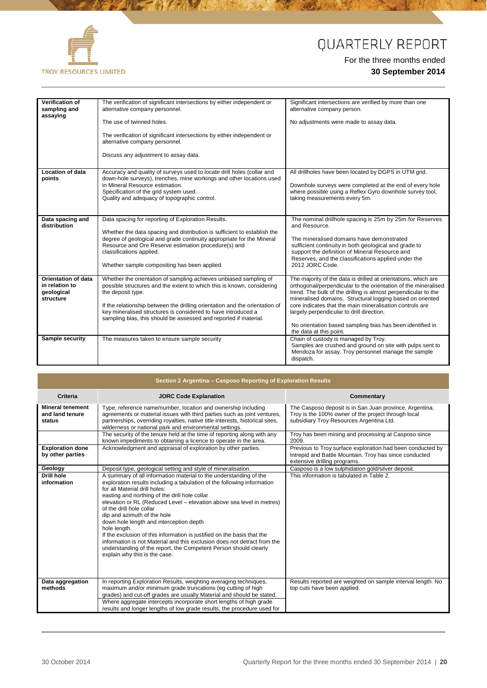

**CHANGE COMPANY** 

# QUARTERLY REPORT

| Verification of<br>sampling and<br>assaying                      | The verification of significant intersections by either independent or<br>alternative company personnel.                                                                                                                                                                                                                                                                             | Significant intersections are verified by more than one<br>alternative company person.                                                                                                                                                                                                                                                                                                                                                                           |
|------------------------------------------------------------------|--------------------------------------------------------------------------------------------------------------------------------------------------------------------------------------------------------------------------------------------------------------------------------------------------------------------------------------------------------------------------------------|------------------------------------------------------------------------------------------------------------------------------------------------------------------------------------------------------------------------------------------------------------------------------------------------------------------------------------------------------------------------------------------------------------------------------------------------------------------|
|                                                                  | The use of twinned holes.                                                                                                                                                                                                                                                                                                                                                            | No adjustments were made to assay data.                                                                                                                                                                                                                                                                                                                                                                                                                          |
|                                                                  | The verification of significant intersections by either independent or<br>alternative company personnel.                                                                                                                                                                                                                                                                             |                                                                                                                                                                                                                                                                                                                                                                                                                                                                  |
|                                                                  | Discuss any adjustment to assay data.                                                                                                                                                                                                                                                                                                                                                |                                                                                                                                                                                                                                                                                                                                                                                                                                                                  |
| Location of data<br>points                                       | Accuracy and quality of surveys used to locate drill holes (collar and<br>down-hole surveys), trenches, mine workings and other locations used<br>in Mineral Resource estimation.<br>Specification of the grid system used.<br>Quality and adequacy of topographic control.                                                                                                          | All drillholes have been located by DGPS in UTM grid.<br>Downhole surveys were completed at the end of every hole<br>where possible using a Reflex Gyro downhole survey tool,<br>taking measurements every 5m.                                                                                                                                                                                                                                                   |
| Data spacing and<br>distribution                                 | Data spacing for reporting of Exploration Results.<br>Whether the data spacing and distribution is sufficient to establish the<br>degree of geological and grade continuity appropriate for the Mineral<br>Resource and Ore Reserve estimation procedure(s) and<br>classifications applied.<br>Whether sample compositing has been applied.                                          | The nominal drillhole spacing is 25m by 25m for Reserves<br>and Resource.<br>The mineralised domains have demonstrated<br>sufficient continuity in both geological and grade to<br>support the definition of Mineral Resource and<br>Reserves, and the classifications applied under the<br>2012 JORC Code.                                                                                                                                                      |
| Orientation of data<br>in relation to<br>geological<br>structure | Whether the orientation of sampling achieves unbiased sampling of<br>possible structures and the extent to which this is known, considering<br>the deposit type.<br>If the relationship between the drilling orientation and the orientation of<br>key mineralised structures is considered to have introduced a<br>sampling bias, this should be assessed and reported if material. | The majority of the data is drilled at orientations, which are<br>orthogonal/perpendicular to the orientation of the mineralised<br>trend. The bulk of the drilling is almost perpendicular to the<br>mineralised domains. Structural logging based on oriented<br>core indicates that the main mineralisation controls are<br>largely perpendicular to drill direction.<br>No orientation based sampling bias has been identified in<br>the data at this point. |
| Sample security                                                  | The measures taken to ensure sample security                                                                                                                                                                                                                                                                                                                                         | Chain of custody is managed by Troy.<br>Samples are crushed and ground on site with pulps sent to<br>Mendoza for assay. Troy personnel manage the sample<br>dispatch.                                                                                                                                                                                                                                                                                            |

|                                                      | Section 2 Argentina – Casposo Reporting of Exploration Results                                                                                                                                                                                                                                                                                                                                                                                                                                                                                                                                                                                                                            |                                                                                                                                                            |
|------------------------------------------------------|-------------------------------------------------------------------------------------------------------------------------------------------------------------------------------------------------------------------------------------------------------------------------------------------------------------------------------------------------------------------------------------------------------------------------------------------------------------------------------------------------------------------------------------------------------------------------------------------------------------------------------------------------------------------------------------------|------------------------------------------------------------------------------------------------------------------------------------------------------------|
| <b>Criteria</b>                                      | <b>JORC Code Explanation</b>                                                                                                                                                                                                                                                                                                                                                                                                                                                                                                                                                                                                                                                              | Commentary                                                                                                                                                 |
| <b>Mineral tenement</b><br>and land tenure<br>status | Type, reference name/number, location and ownership including<br>agreements or material issues with third parties such as joint ventures,<br>partnerships, overriding royalties, native title interests, historical sites,<br>wilderness or national park and environmental settings.                                                                                                                                                                                                                                                                                                                                                                                                     | The Casposo deposit is in San Juan province, Argentina.<br>Troy is the 100% owner of the project through local<br>subsidiary Troy Resources Argentina Ltd. |
|                                                      | The security of the tenure held at the time of reporting along with any<br>known impediments to obtaining a licence to operate in the area.                                                                                                                                                                                                                                                                                                                                                                                                                                                                                                                                               | Troy has been mining and processing at Casposo since<br>2009.                                                                                              |
| <b>Exploration done</b><br>by other parties          | Acknowledgment and appraisal of exploration by other parties.                                                                                                                                                                                                                                                                                                                                                                                                                                                                                                                                                                                                                             | Previous to Troy surface exploration had been conducted by<br>Intrepid and Battle Mountain. Troy has since conducted<br>extensive drilling programs.       |
| Geology                                              | Deposit type, geological setting and style of mineralisation.                                                                                                                                                                                                                                                                                                                                                                                                                                                                                                                                                                                                                             | Casposo is a low sulphidation gold/silver deposit.                                                                                                         |
| Drill hole<br>information                            | A summary of all information material to the understanding of the<br>exploration results including a tabulation of the following information<br>for all Material drill holes:<br>easting and northing of the drill hole collar<br>elevation or RL (Reduced Level – elevation above sea level in metres)<br>of the drill hole collar<br>dip and azimuth of the hole<br>down hole length and interception depth<br>hole length.<br>If the exclusion of this information is justified on the basis that the<br>information is not Material and this exclusion does not detract from the<br>understanding of the report, the Competent Person should clearly<br>explain why this is the case. | This information is tabulated in Table 2.                                                                                                                  |
| Data aggregation<br>methods                          | In reporting Exploration Results, weighting averaging techniques,<br>maximum and/or minimum grade truncations (eg cutting of high<br>grades) and cut-off grades are usually Material and should be stated.<br>Where aggregate intercepts incorporate short lengths of high grade<br>results and longer lengths of low grade results, the procedure used for                                                                                                                                                                                                                                                                                                                               | Results reported are weighted on sample interval length. No<br>top cuts have been applied.                                                                 |